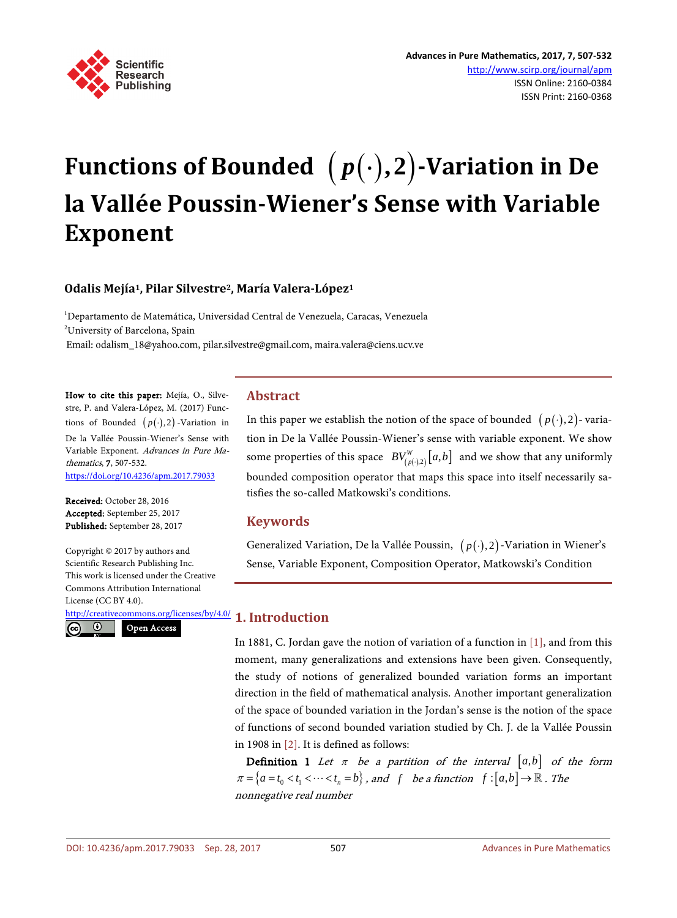

# **Functions of Bounded**  $(p(\cdot), 2)$ -Variation in De **la Vallée Poussin-Wiener's Sense with Variable Exponent**

### **Odalis Mejía1, Pilar Silvestre2, María Valera-López1**

<sup>1</sup>Departamento de Matemática, Universidad Central de Venezuela, Caracas, Venezuela <sup>2</sup>University of Barcelona, Spain Email: odalism\_18@yahoo.com, pilar.silvestre@gmail.com, maira.valera@ciens.ucv.ve

How to cite this paper: Mejía, O., Silvestre, P. and Valera-López, M. (2017) Functions of Bounded  $(p(\cdot),2)$  -Variation in De la Vallée Poussin-Wiener's Sense with Variable Exponent. Advances in Pure Mathematics, 7, 507-532. <https://doi.org/10.4236/apm.2017.79033>

Received: October 28, 2016 Accepted: September 25, 2017 Published: September 28, 2017

Copyright © 2017 by authors and Scientific Research Publishing Inc. This work is licensed under the Creative Commons Attribution International License (CC BY 4.0).

<http://creativecommons.org/licenses/by/4.0/> Open Access

 $\odot$  $\odot$ 

### **Abstract**

In this paper we establish the notion of the space of bounded  $(p(\cdot), 2)$ -variation in De la Vallée Poussin-Wiener's sense with variable exponent. We show some properties of this space  $BV_{( p(\cdot ) , 2 )}^W [ a,b ]$  and we show that any uniformly bounded composition operator that maps this space into itself necessarily satisfies the so-called Matkowski's conditions.

### **Keywords**

Generalized Variation, De la Vallée Poussin,  $(p(\cdot), 2)$ -Variation in Wiener's Sense, Variable Exponent, Composition Operator, Matkowski's Condition

## **1. Introduction**

In 1881, C. Jordan gave the notion of variation of a function in [\[1\],](#page-23-0) and from this moment, many generalizations and extensions have been given. Consequently, the study of notions of generalized bounded variation forms an important direction in the field of mathematical analysis. Another important generalization of the space of bounded variation in the Jordan's sense is the notion of the space of functions of second bounded variation studied by Ch. J. de la Vallée Poussin in 1908 in [\[2\].](#page-23-1) It is defined as follows:

**Definition 1** Let  $\pi$  be a partition of the interval  $[a,b]$  of the form  $\pi = \{a = t_0 < t_1 < \cdots < t_n = b\}$ , and *f* be a function  $f : [a,b] \to \mathbb{R}$ . The nonnegative real number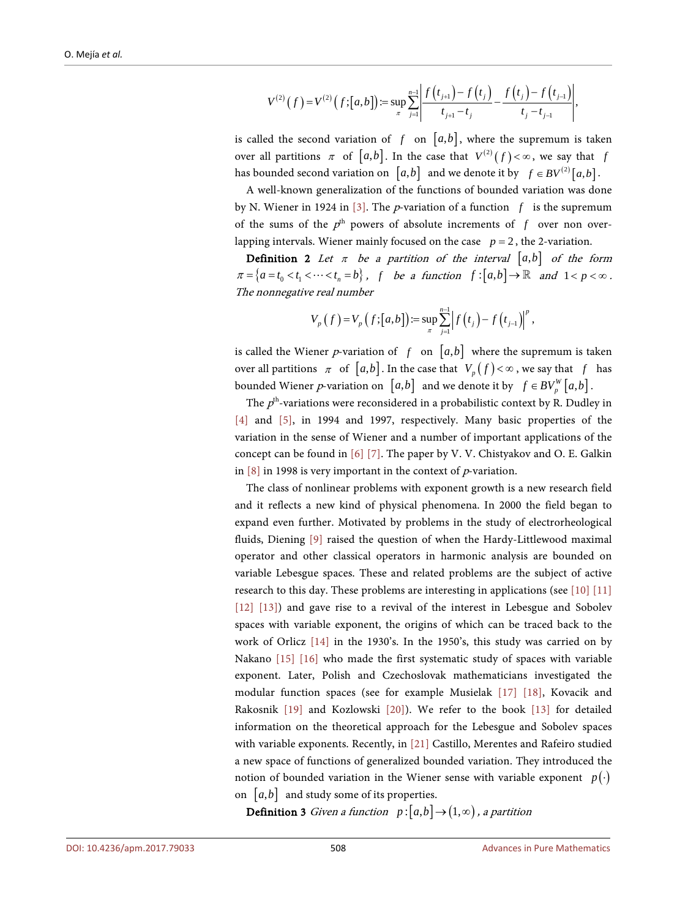$$
V^{(2)}(f) = V^{(2)}(f; [a,b]) := \sup_{\pi} \sum_{j=1}^{n-1} \left| \frac{f(t_{j+1}) - f(t_j)}{t_{j+1} - t_j} - \frac{f(t_j) - f(t_{j-1})}{t_j - t_{j-1}} \right|,
$$

is called the second variation of  $f$  on  $[a,b]$ , where the supremum is taken over all partitions  $\pi$  of  $[a,b]$ . In the case that  $V^{(2)}(f) < \infty$ , we say that *f* has bounded second variation on  $\begin{bmatrix} a,b \end{bmatrix}$  and we denote it by  $f \in BV^{(2)}[a,b]$ .

A well-known generalization of the functions of bounded variation was done by N. Wiener in 1924 in [\[3\].](#page-23-2) The p-variation of a function *f* is the supremum of the sums of the  $p<sup>th</sup>$  powers of absolute increments of  $f$  over non overlapping intervals. Wiener mainly focused on the case  $p = 2$ , the 2-variation.

**Definition 2** Let  $\pi$  be a partition of the interval  $[a,b]$  of the form  $\pi = \{a = t_0 < t_1 < \cdots < t_n = b\}$ , *f* be a function  $f : [a,b] \to \mathbb{R}$  and  $1 < p < \infty$ . The nonnegative real number

$$
V_p(f) = V_p(f; [a,b]) := \sup_{\pi} \sum_{j=1}^{n-1} |f(t_j) - f(t_{j-1})|^p,
$$

is called the Wiener *p*-variation of  $f$  on  $[a,b]$  where the supremum is taken over all partitions  $\pi$  of  $[a,b]$ . In the case that  $V_p(f) < \infty$ , we say that f has bounded Wiener *p*-variation on  $[a,b]$  and we denote it by  $f \in BV_p^W[a,b]$ .

The  $p<sup>th</sup>$ -variations were reconsidered in a probabilistic context by R. Dudley in [\[4\]](#page-24-0) and [\[5\],](#page-24-1) in 1994 and 1997, respectively. Many basic properties of the variation in the sense of Wiener and a number of important applications of the concept can be found in [\[6\]](#page-24-2) [\[7\].](#page-24-3) The paper by V. V. Chistyakov and O. E. Galkin in  $[8]$  in 1998 is very important in the context of *p*-variation.

The class of nonlinear problems with exponent growth is a new research field and it reflects a new kind of physical phenomena. In 2000 the field began to expand even further. Motivated by problems in the study of electrorheological fluids, Diening [\[9\]](#page-24-5) raised the question of when the Hardy-Littlewood maximal operator and other classical operators in harmonic analysis are bounded on variable Lebesgue spaces. These and related problems are the subject of active research to this day. These problems are interesting in applications (see [\[10\]](#page-24-6) [\[11\]](#page-24-7) [\[12\]](#page-24-8) [\[13\]\)](#page-24-9) and gave rise to a revival of the interest in Lebesgue and Sobolev spaces with variable exponent, the origins of which can be traced back to the work of Orlicz [\[14\]](#page-24-10) in the 1930's. In the 1950's, this study was carried on by Nakano [\[15\]](#page-24-11) [\[16\]](#page-24-12) who made the first systematic study of spaces with variable exponent. Later, Polish and Czechoslovak mathematicians investigated the modular function spaces (see for example Musielak [\[17\]](#page-24-13) [\[18\],](#page-24-14) Kovacik and Rakosnik [\[19\]](#page-24-15) and Kozlowski [\[20\]\)](#page-24-16). We refer to the book [\[13\]](#page-24-9) for detailed information on the theoretical approach for the Lebesgue and Sobolev spaces with variable exponents. Recently, in [\[21\]](#page-24-17) Castillo, Merentes and Rafeiro studied a new space of functions of generalized bounded variation. They introduced the notion of bounded variation in the Wiener sense with variable exponent  $p(\cdot)$ on  $[a, b]$  and study some of its properties.

**Definition 3** Given a function  $p:[a,b] \rightarrow (1,\infty)$ , a partition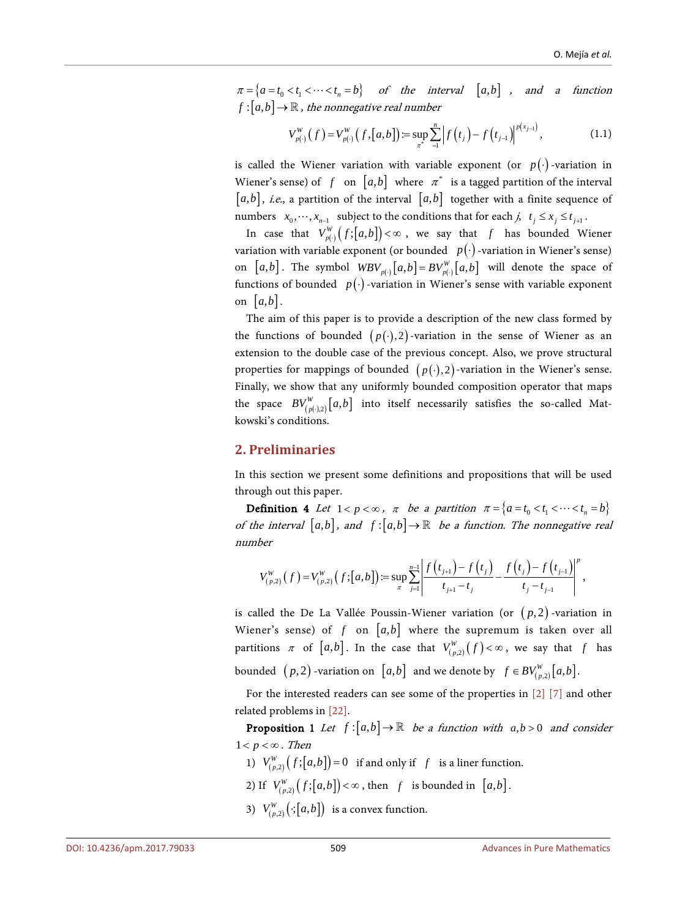$\pi = \{a = t_0 < t_1 < \cdots < t_n = b\}$  of the interval  $[a, b]$ , and a function  $f : [a,b] \to \mathbb{R}$ , the nonnegative real number

$$
V_{p(\cdot)}^W(f) = V_{p(\cdot)}^W(f, [a, b]) := \sup_{\pi^*} \sum_{i=1}^n \left| f(t_i) - f(t_{i-1}) \right|^{p(x_{j-1})}, \tag{1.1}
$$

is called the Wiener variation with variable exponent (or  $p(\cdot)$ -variation in Wiener's sense) of *f* on [ $a,b$ ] where  $\pi^*$  is a tagged partition of the interval  $[a,b]$ , *i.e.*, a partition of the interval  $[a,b]$  together with a finite sequence of numbers  $x_0, \dots, x_{n-1}$  subject to the conditions that for each  $j, t_j \le x_j \le t_{j+1}$ .

In case that  $V_{p(\cdot)}^W(f;[a,b]) < \infty$ , we say that *f* has bounded Wiener variation with variable exponent (or bounded *p*(⋅) -variation in Wiener's sense) on  $[a,b]$ . The symbol  $WBV_{p(\cdot)}[a,b] = BV_{p(\cdot)}^W[a,b]$  will denote the space of functions of bounded  $p(\cdot)$ -variation in Wiener's sense with variable exponent on  $[a, b]$ .

The aim of this paper is to provide a description of the new class formed by the functions of bounded  $(p(.), 2)$ -variation in the sense of Wiener as an extension to the double case of the previous concept. Also, we prove structural properties for mappings of bounded  $(p(\cdot),2)$ -variation in the Wiener's sense. Finally, we show that any uniformly bounded composition operator that maps the space  $BV_{( \rho(\cdot) , 2 )}^W \left[ a, b \right]$  into itself necessarily satisfies the so-called Matkowski's conditions.

### **2. Preliminaries**

In this section we present some definitions and propositions that will be used through out this paper.

**Definition 4** Let  $1 < p < \infty$ ,  $\pi$  be a partition  $\pi = \{a = t_0 < t_1 < \cdots < t_n = b\}$ of the interval  $[a,b]$ , and  $f:[a,b] \to \mathbb{R}$  be a function. The nonnegative real number

$$
V_{(p,2)}^W(f) = V_{(p,2)}^W(f; [a,b]) := \sup_{\pi} \sum_{j=1}^{n-1} \left| \frac{f(t_{j+1}) - f(t_j)}{t_{j+1} - t_j} - \frac{f(t_j) - f(t_{j-1})}{t_j - t_{j-1}} \right|^p,
$$

is called the De La Vallée Poussin-Wiener variation (or  $(p, 2)$  -variation in Wiener's sense) of  $f$  on  $[a,b]$  where the supremum is taken over all partitions  $\pi$  of  $[a,b]$ . In the case that  $V_{(p,2)}^W(f) < \infty$ , we say that  $f$  has bounded  $(p, 2)$  -variation on  $[a, b]$  and we denote by  $f \in BV_{(p, 2)}^W[a, b]$ .

For the interested readers can see some of the properties in [\[2\]](#page-23-1) [\[7\]](#page-24-3) and other related problems in [\[22\].](#page-25-0)

**Proposition 1** Let  $f:[a,b] \to \mathbb{R}$  be a function with  $a,b>0$  and consider  $1 < p < \infty$ . Then

- 1)  $V_{(p,2)}^W(f; [a,b]) = 0$  if and only if *f* is a liner function.
- 2) If  $V_{(p,2)}^W(f; [a,b]) < \infty$ , then *f* is bounded in  $[a,b]$ .
- 3)  $V^W_{(p,2)}(\cdot; [a,b])$  is a convex function.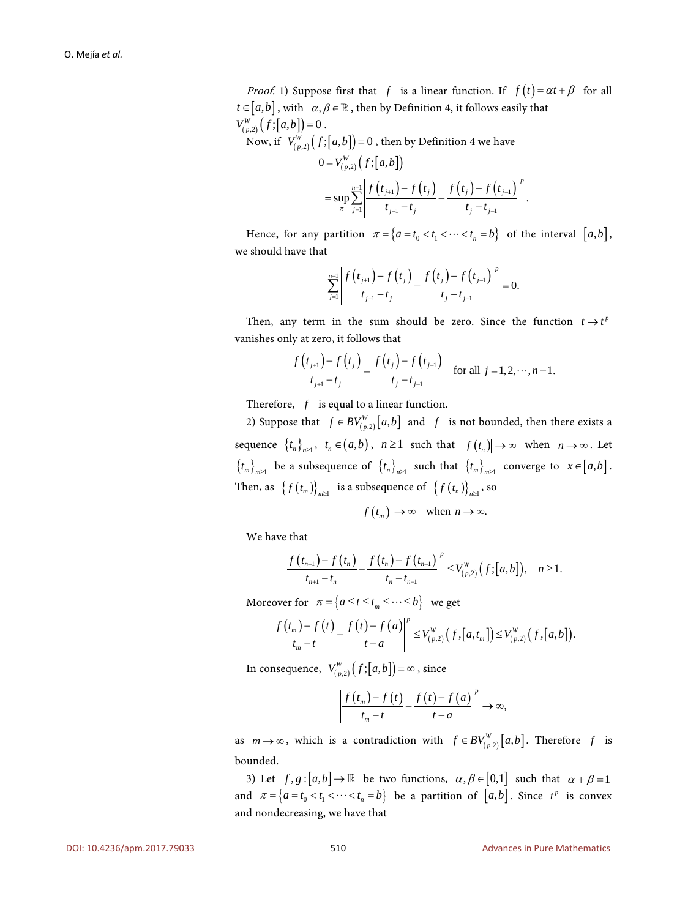*Proof.* 1) Suppose first that *f* is a linear function. If  $f(t) = \alpha t + \beta$  for all  $t \in [a, b]$ , with  $\alpha, \beta \in \mathbb{R}$ , then by Definition 4, it follows easily that  $V^W_{(p,2)}(f;[a,b]) = 0$ .

Now, if  $\; V_{( p, 2 )}^{W}\big( f ; \big[ a, b \big] \big) \! = \! 0$  , then by Definition 4 we have

$$
0 = V_{(p,2)}^{W} (f; [a,b])
$$
  
=  $\sup_{\pi} \sum_{j=1}^{n-1} \left| \frac{f(t_{j+1}) - f(t_j)}{t_{j+1} - t_j} - \frac{f(t_j) - f(t_{j-1})}{t_j - t_{j-1}} \right|^p$ .

Hence, for any partition  $\pi = \{a = t_0 < t_1 < \cdots < t_n = b\}$  of the interval  $[a, b]$ , we should have that

$$
\sum_{j=1}^{n-1} \left| \frac{f(t_{j+1}) - f(t_j)}{t_{j+1} - t_j} - \frac{f(t_j) - f(t_{j-1})}{t_j - t_{j-1}} \right|^p = 0.
$$

Then, any term in the sum should be zero. Since the function  $t \rightarrow t^p$ vanishes only at zero, it follows that

$$
\frac{f(t_{j+1}) - f(t_j)}{t_{j+1} - t_j} = \frac{f(t_j) - f(t_{j-1})}{t_j - t_{j-1}} \quad \text{for all } j = 1, 2, \dots, n-1.
$$

Therefore, *f* is equal to a linear function.

2) Suppose that  $f \in BV_{(p,2)}^W[a,b]$  and  $f$  is not bounded, then there exists a sequence  ${t_n}_{n \geq 1}$ ,  $t_n \in (a,b)$ ,  $n \geq 1$  such that  $|f(t_n)| \to \infty$  when  $n \to \infty$ . Let  ${t_m}_{m \geq 1}$  be a subsequence of  ${t_n}_{n \geq 1}$  such that  ${t_m}_{m \geq 1}$  converge to  $x \in [a, b]$ . Then, as  $\{f(t_m)\}_{m\geq 1}$  is a subsequence of  $\{f(t_n)\}_{n\geq 1}$ , so

$$
\left|f(t_m)\right| \to \infty \quad \text{when } n \to \infty.
$$

We have that

$$
\left|\frac{f(t_{n+1})-f(t_n)}{t_{n+1}-t_n}-\frac{f(t_n)-f(t_{n-1})}{t_n-t_{n-1}}\right|^p\leq V^W_{(p,2)}(f;[a,b]),\quad n\geq 1.
$$

Moreover for  $\pi = \{a \le t \le t_m \le \cdots \le b\}$  we get

$$
\left|\frac{f\left(t_{m}\right)-f\left(t\right)}{t_{m}-t}-\frac{f\left(t\right)-f\left(a\right)}{t-a}\right|^{p}\leq V_{\left(p,2\right)}^{W}\left(f,\left[a,t_{m}\right]\right)\leq V_{\left(p,2\right)}^{W}\left(f,\left[a,b\right]\right).
$$

In consequence,  $V_{(p,2)}^W(f;[a,b]) = \infty$ , since

$$
\left|\frac{f(t_m)-f(t)}{t_m-t}-\frac{f(t)-f(a)}{t-a}\right|^p\to\infty,
$$

as  $m \to \infty$ , which is a contradiction with  $f \in BV_{(p,2)}^W[a,b]$ . Therefore f is bounded.

3) Let  $f, g : [a,b] \to \mathbb{R}$  be two functions,  $\alpha, \beta \in [0,1]$  such that  $\alpha + \beta = 1$ and  $\pi = \{a = t_0 < t_1 < \cdots < t_n = b\}$  be a partition of  $[a, b]$ . Since  $t^p$  is convex and nondecreasing, we have that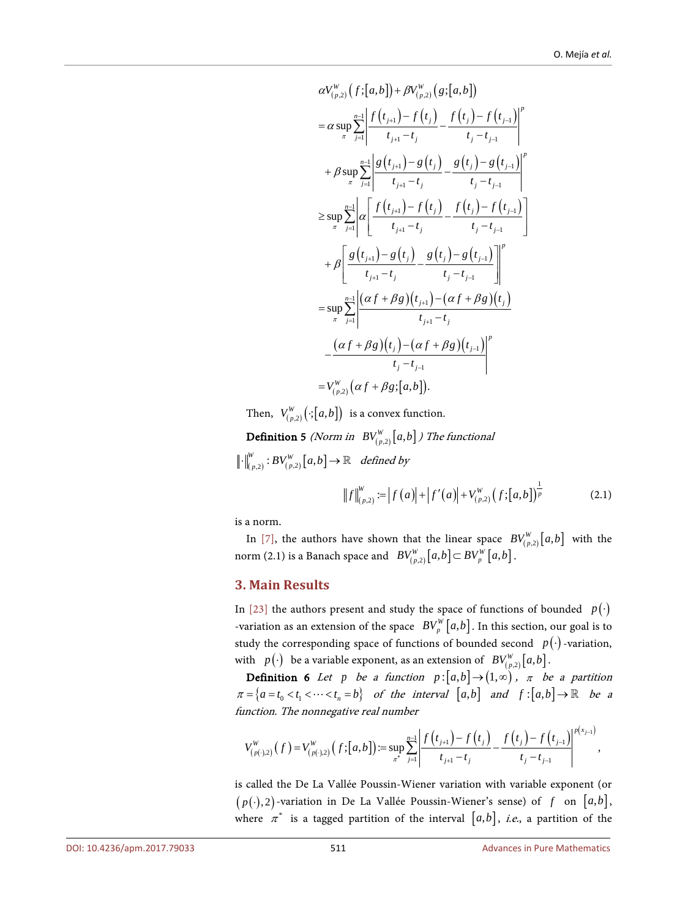$$
\alpha V_{(p,2)}^W(f; [a,b]) + \beta V_{(p,2)}^W(g; [a,b])
$$
\n
$$
= \alpha \sup_{\pi} \sum_{j=1}^{n-1} \left| \frac{f(t_{j+1}) - f(t_j)}{t_{j+1} - t_j} - \frac{f(t_j) - f(t_{j-1})}{t_j - t_{j-1}} \right|^p
$$
\n
$$
+ \beta \sup_{\pi} \sum_{j=1}^{n-1} \left| \frac{g(t_{j+1}) - g(t_j)}{t_{j+1} - t_j} - \frac{g(t_j) - g(t_{j-1})}{t_j - t_{j-1}} \right|^p
$$
\n
$$
\geq \sup_{\pi} \sum_{j=1}^{n-1} \left| \alpha \left[ \frac{f(t_{j+1}) - f(t_j)}{t_{j+1} - t_j} - \frac{f(t_j) - f(t_{j-1})}{t_j - t_{j-1}} \right]^p \right|
$$
\n
$$
+ \beta \left[ \frac{g(t_{j+1}) - g(t_j)}{t_{j+1} - t_j} - \frac{g(t_j) - g(t_{j-1})}{t_j - t_{j-1}} \right]^p
$$
\n
$$
= \sup_{\pi} \sum_{j=1}^{n-1} \left| \frac{(\alpha f + \beta g)(t_{j+1}) - (\alpha f + \beta g)(t_j)}{t_{j+1} - t_j} - \frac{(\alpha f + \beta g)(t_j) - (\alpha f + \beta g)(t_{j-1})}{t_j - t_{j-1}} \right|^p
$$
\n
$$
= V_{(p,2)}^W(\alpha f + \beta g; [a,b]).
$$

Then,  $V_{(p,2)}^W(\cdot; [a,b])$  is a convex function.

**Definition 5** (Norm in  $BV_{(p,2)}^W[a,b]$ ) The functional  $\lVert \cdot \rVert_{(p,2)}^W : BV_{(p,2)}^W[a,b] \to \mathbb{R}$  *defined by* 

$$
||f||_{(p,2)}^W := |f(a)| + |f'(a)| + V_{(p,2)}^W \big(f; [a,b]\big)^{\frac{1}{p}} \tag{2.1}
$$

is a norm.

In [\[7\],](#page-24-3) the authors have shown that the linear space  $BV_{(p,2)}^W[a,b]$  with the norm (2.1) is a Banach space and  $BV_{(p,2)}^W[a,b] \subset BV_p^W[a,b]$ .

### **3. Main Results**

In [\[23\]](#page-25-1) the authors present and study the space of functions of bounded  $p(\cdot)$ -variation as an extension of the space  $BV_p^W[a, b]$ . In this section, our goal is to study the corresponding space of functions of bounded second  $p(\cdot)$ -variation, with  $p(\cdot)$  be a variable exponent, as an extension of  $BV_{(p,2)}^W[a,b]$ .

**Definition 6** Let *p* be a function  $p:[a,b]\rightarrow(1,\infty)$ ,  $\pi$  be a partition  $\pi = \{a = t_0 < t_1 < \cdots < t_n = b\}$  of the interval  $[a,b]$  and  $f:[a,b] \to \mathbb{R}$  be a function. The nonnegative real number

$$
V_{(p(\cdot),2)}^W(f) = V_{(p(\cdot),2)}^W(f; [a,b]) := \sup_{\pi^*} \sum_{j=1}^{n-1} \left| \frac{f(t_{j+1}) - f(t_j)}{t_{j+1} - t_j} - \frac{f(t_j) - f(t_{j-1})}{t_j - t_{j-1}} \right|^{p(x_{j-1})},
$$

is called the De La Vallée Poussin-Wiener variation with variable exponent (or  $(p(\cdot),2)$ -variation in De La Vallée Poussin-Wiener's sense) of f on  $[a,b]$ , where  $\pi^*$  is a tagged partition of the interval  $[a,b]$ , *i.e.*, a partition of the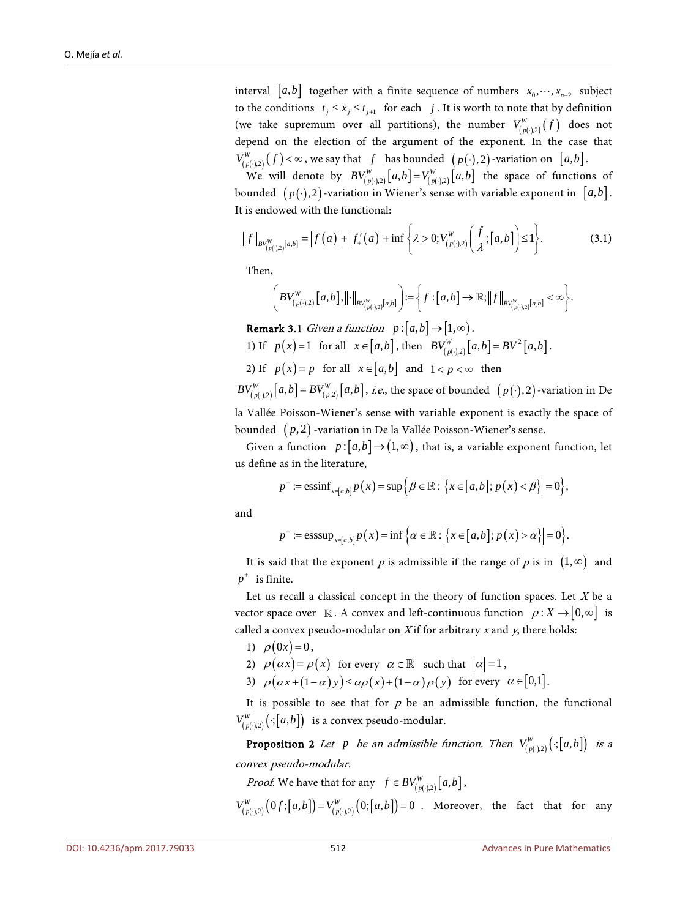interval [ $a, b$ ] together with a finite sequence of numbers  $x_0, \dots, x_{n-2}$  subject to the conditions  $t_i \leq x_i \leq t_{i+1}$  for each *j*. It is worth to note that by definition (we take supremum over all partitions), the number  $V^W_{(p(\cdot),2)}(f)$  does not depend on the election of the argument of the exponent. In the case that  $V^W_{(p(\cdot),2)}(f) < \infty$ , we say that *f* has bounded  $(p(\cdot),2)$ -variation on  $[a,b]$ .

We will denote by  $BV_{( p(\cdot), 2 )}^W \left[ a, b \right] = V_{( p(\cdot), 2 )}^W \left[ a, b \right]$  the space of functions of bounded  $(p(\cdot),2)$ -variation in Wiener's sense with variable exponent in  $[a,b]$ . It is endowed with the functional:

$$
||f||_{BV_{(p(\cdot),2)}^W}[a,b]} = |f(a)| + |f'_{+}(a)| + \inf \left\{ \lambda > 0; V_{(p(\cdot),2)}^W\left(\frac{f}{\lambda};[a,b]\right) \le 1 \right\}.
$$
 (3.1)

Then,

$$
\left(BV_{(p(\cdot),2)}^W[a,b],\|\cdot\|_{BV_{(p(\cdot),2)}^W[a,b]}\right) := \left\{f: [a,b] \to \mathbb{R}; \|f\|_{BV_{(p(\cdot),2)}^W[a,b]} < \infty\right\}.
$$

**Remark 3.1** Given a function  $p:[a,b] \rightarrow [1,\infty)$ .

- 1) If  $p(x)=1$  for all  $x \in [a,b]$ , then  $BV_{(p(\cdot),2)}^W[a,b] = BV^2[a,b]$ .
- 2) If  $p(x) = p$  for all  $x \in [a, b]$  and  $1 < p < \infty$  then

$$
BV_{(p(\cdot),2)}^W[a,b] = BV_{(p,2)}^W[a,b], i.e.,
$$
 the space of bounded  $(p(\cdot),2)$ -variation in De  
la Vallée Poisson-Wiener's sense with variable exponent is exactly the space of

bounded ( *p*, 2) -variation in De la Vallée Poisson-Wiener's sense.

Given a function  $p : [a,b] \rightarrow (1,\infty)$ , that is, a variable exponent function, let us define as in the literature,

$$
p^- := \operatorname{essinf}_{x \in [a,b]} p(x) = \sup \{ \beta \in \mathbb{R} : \left| \{ x \in [a,b]; p(x) < \beta \} \right| = 0 \},\
$$

and

$$
p^+ := \mathrm{esssup}_{x \in [a,b]} p(x) = \inf \left\{ \alpha \in \mathbb{R} : \left| \left\{ x \in [a,b]; p(x) > \alpha \right\} \right| = 0 \right\}.
$$

It is said that the exponent p is admissible if the range of p is in  $(1, \infty)$  and  $p^+$  is finite.

Let us recall a classical concept in the theory of function spaces. Let  $X$  be a vector space over  $\mathbb{R}$ . A convex and left-continuous function  $\rho: X \to [0, \infty]$  is called a convex pseudo-modular on  $X$  if for arbitrary  $x$  and  $y$ , there holds:

- 1)  $\rho(0x) = 0$ ,
- 2)  $\rho(\alpha x) = \rho(x)$  for every  $\alpha \in \mathbb{R}$  such that  $|\alpha| = 1$ ,
- 3)  $\rho(\alpha x + (1-\alpha)y) \leq \alpha \rho(x) + (1-\alpha)\rho(y)$  for every  $\alpha \in [0,1]$ .

It is possible to see that for  $p$  be an admissible function, the functional  $V^W_{(p(\cdot), 2)}\bigl(\cdot; [a, b]\bigr)$  is a convex pseudo-modular.

**Proposition 2** Let *p* be an admissible function. Then  $V_{(p(\cdot),2)}^W(\cdot; [a,b])$  is a convex pseudo-modular.

*Proof.* We have that for any  $f \in BV_{(p(\cdot), 2)}^W[a, b]$ ,

 $V^W_{(p(\cdot),2)}(0f;[a,b])=V^W_{(p(\cdot),2)}(0;[a,b])=0$ . Moreover, the fact that for any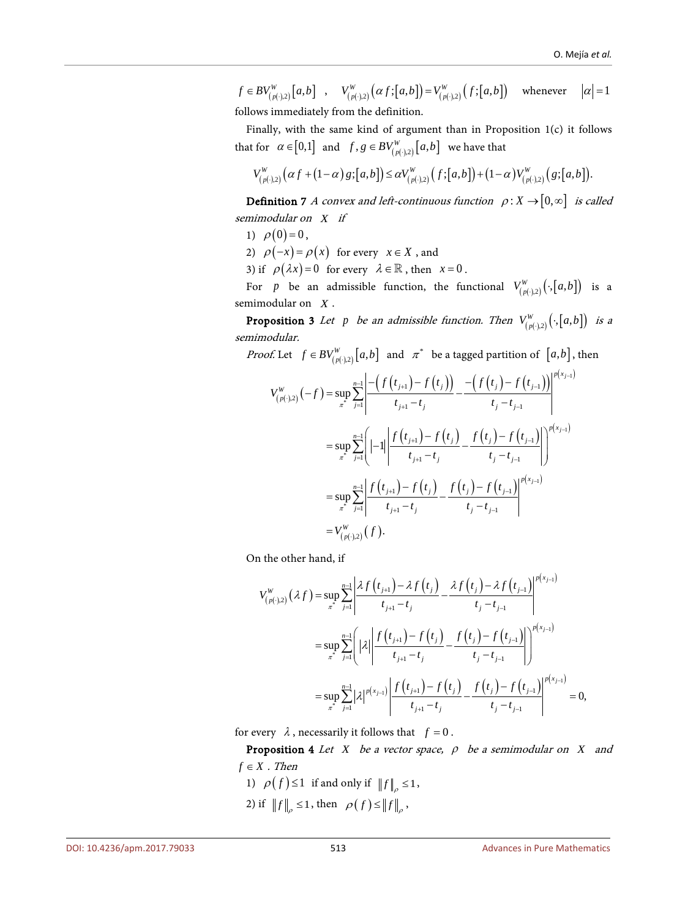$(f\in BV_{(\rho(\cdot),2)}^W\big[a,b\big]$  ,  $V_{(\rho(\cdot),2)}^W\big[\alpha f;[a,b]\big)=V_{(\rho(\cdot),2)}^W\big(f;[a,b]\big)$  whenever  $\big|\alpha\big|=1$ follows immediately from the definition.

Finally, with the same kind of argument than in Proposition 1(c) it follows that for  $\alpha \in [0,1]$  and  $f, g \in BV_{(p(\cdot),2)}^W[a, b]$  we have that

$$
V^{\rm w}_{(\rho(\cdot),2)}\Big(\alpha f+\big(1-\alpha\big) \, g\, ; \big[ a , b\big] \Big)\le \alpha V^{\rm w}_{(\rho(\cdot),2)}\Big(f\, ; \big[ a , b\big]\Big)+ \big(1-\alpha\big) V^{\rm w}_{(\rho(\cdot),2)}\Big(\, g\, ; \big[ a , b\big]\Big).
$$

**Definition 7** A convex and left-continuous function  $\rho: X \rightarrow [0, \infty]$  is called semimodular on *X* if

- 1)  $\rho(0) = 0$ ,
- 2)  $\rho(-x) = \rho(x)$  for every  $x \in X$ , and
- 3) if  $\rho(\lambda x) = 0$  for every  $\lambda \in \mathbb{R}$ , then  $x = 0$ .

For *p* be an admissible function, the functional  $V^W_{(p(\cdot),2)}( \cdot,[a,b])$  is a semimodular on *X* .

**Proposition 3** Let *p* be an admissible function. Then  $V^W_{(p(\cdot),2)}(\cdot,[a,b])$  is a semimodular.

*Proof.* Let  $f \in BV_{(p(\cdot),2)}^W[a,b]$  and  $\pi^*$  be a tagged partition of  $[a,b]$ , then

$$
V_{(p(\cdot),2)}^W(-f) = \sup_{\pi^*} \sum_{j=1}^{n-1} \left| \frac{-\left(f(t_{j+1}) - f(t_j)\right)}{t_{j+1} - t_j} - \frac{-\left(f(t_j) - f(t_{j-1})\right)}{t_j - t_{j-1}} \right|^{p(x_{j-1})}
$$
  
\n
$$
= \sup_{\pi^*} \sum_{j=1}^{n-1} \left| -1 \right| \left| \frac{f(t_{j+1}) - f(t_j)}{t_{j+1} - t_j} - \frac{f(t_j) - f(t_{j-1})}{t_j - t_{j-1}} \right|^{p(x_{j-1})}
$$
  
\n
$$
= \sup_{\pi^*} \sum_{j=1}^{n-1} \left| \frac{f(t_{j+1}) - f(t_j)}{t_{j+1} - t_j} - \frac{f(t_j) - f(t_{j-1})}{t_j - t_{j-1}} \right|^{p(x_{j-1})}
$$
  
\n
$$
= V_{(p(\cdot),2)}^W(f).
$$

On the other hand, if

$$
V_{(p(\cdot),2)}^{W}(\lambda f) = \sup_{\pi^{*}} \sum_{j=1}^{n-1} \left| \frac{\lambda f(t_{j+1}) - \lambda f(t_{j})}{t_{j+1} - t_{j}} - \frac{\lambda f(t_{j}) - \lambda f(t_{j-1})}{t_{j} - t_{j-1}} \right|^{p(x_{j-1})}
$$
  

$$
= \sup_{\pi^{*}} \sum_{j=1}^{n-1} \left| |\lambda| \left| \frac{f(t_{j+1}) - f(t_{j})}{t_{j+1} - t_{j}} - \frac{f(t_{j}) - f(t_{j-1})}{t_{j} - t_{j-1}} \right| \right|^{p(x_{j-1})}
$$
  

$$
= \sup_{\pi^{*}} \sum_{j=1}^{n-1} |\lambda|^{p(x_{j-1})} \left| \frac{f(t_{j+1}) - f(t_{j})}{t_{j+1} - t_{j}} - \frac{f(t_{j}) - f(t_{j-1})}{t_{j} - t_{j-1}} \right|^{p(x_{j-1})} = 0,
$$

for every  $\lambda$ , necessarily it follows that  $f = 0$ .

Proposition 4 Let *X* be a vector space, <sup>ρ</sup> be a semimodular on *X* and  $f \in X$ . Then

1)  $\rho(f) \leq 1$  if and only if  $||f||_{g} \leq 1$ , 2) if  $||f||_p \leq 1$ , then  $\rho(f) \leq ||f||_p$ ,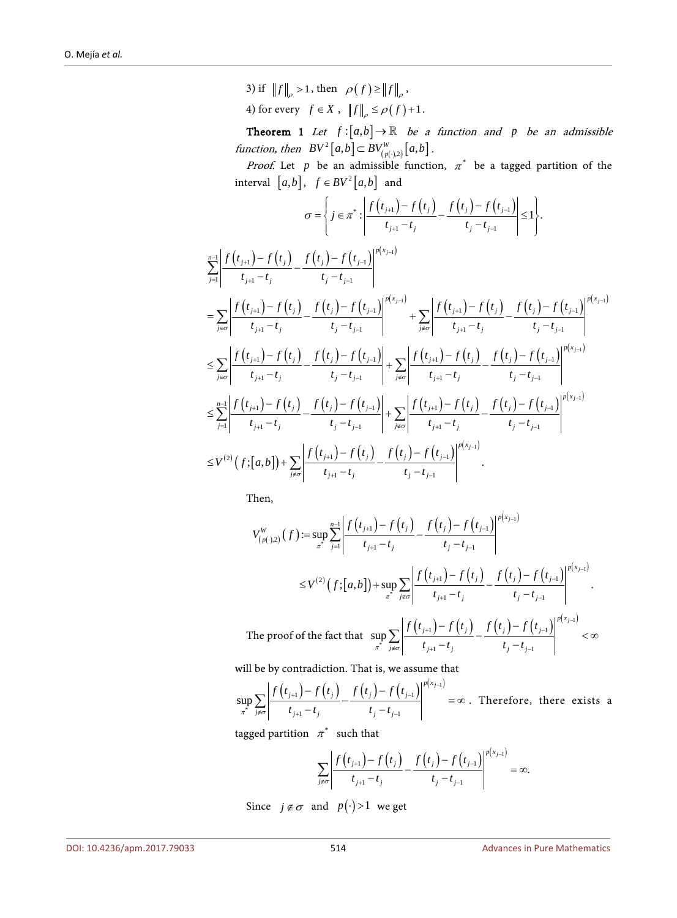3) if  $||f||_{\rho} > 1$ , then  $\rho(f) \ge ||f||_{\rho}$ , 4) for every  $f \in X$ ,  $||f||_2 \le \rho(f) + 1$ .

**Theorem 1** Let  $f:[a,b] \to \mathbb{R}$  be a function and *p* be an admissible function, then  $BV^2\big[ a,b \big] \subset BV_{(p(\cdot),2)}^W\big[ a,b \big]$ .

*Proof.* Let *p* be an admissible function,  $\pi^*$  be a tagged partition of the interval  $[a,b]$ ,  $f \in BV^2[a,b]$  and

$$
\sigma = \left\{ j \in \pi^* : \left| \frac{f(t_{j+1}) - f(t_j)}{t_{j+1} - t_j} - \frac{f(t_j) - f(t_{j-1})}{t_j - t_{j-1}} \right| \le 1 \right\}.
$$
\n
$$
\sum_{j=1}^{n-1} \left| \frac{f(t_{j+1}) - f(t_j)}{t_{j+1} - t_j} - \frac{f(t_j) - f(t_{j-1})}{t_j - t_{j-1}} \right|^{p(x_{j-1})} + \sum_{j \notin \sigma} \left| \frac{f(t_{j+1}) - f(t_j)}{t_{j+1} - t_j} - \frac{f(t_j) - f(t_{j-1})}{t_j - t_{j-1}} \right|^{p(x_{j-1})} \le \sum_{j \notin \sigma} \left| \frac{f(t_{j+1}) - f(t_j)}{t_{j+1} - t_j} - \frac{f(t_j) - f(t_{j-1})}{t_j - t_{j-1}} \right|^{p(x_{j-1})} + \sum_{j \notin \sigma} \left| \frac{f(t_{j+1}) - f(t_j)}{t_{j+1} - t_j} - \frac{f(t_j) - f(t_{j-1})}{t_j - t_{j-1}} \right|^{p(x_{j-1})} \le \sum_{j=1}^{n-1} \left| \frac{f(t_{j+1}) - f(t_j)}{t_{j+1} - t_j} - \frac{f(t_j) - f(t_{j-1})}{t_j - t_{j-1}} \right| + \sum_{j \notin \sigma} \left| \frac{f(t_{j+1}) - f(t_j)}{t_{j+1} - t_j} - \frac{f(t_j) - f(t_{j-1})}{t_j - t_{j-1}} \right|^{p(x_{j-1})} \le V^{(2)}(f; [a, b]) + \sum_{j \notin \sigma} \left| \frac{f(t_{j+1}) - f(t_j)}{t_{j+1} - t_j} - \frac{f(t_j) - f(t_{j-1})}{t_j - t_{j-1}} \right|^{p(x_{j-1})} \le V^{(2)}(f; [a, b]) + \sum_{j \notin \sigma} \left| \frac{f(t_{j+1}) - f(t_j)}{t_{j+1} - t_j} - \frac{f(t_j) - f(t_{j-1})}{t_j - t_{j-1}} \right|^{p(x_{j-1})} \le V^{(2)}(f; [a, b]) + \sum_{j \notin \sigma} \
$$

Then,

$$
V_{(p(\cdot),2)}^W(f) := \sup_{\pi^*} \sum_{j=1}^{n-1} \left| \frac{f(t_{j+1}) - f(t_j)}{t_{j+1} - t_j} - \frac{f(t_j) - f(t_{j-1})}{t_j - t_{j-1}} \right|^{p(x_{j-1})}
$$
  

$$
\leq V^{(2)}(f; [a,b]) + \sup_{\pi^*} \sum_{j \notin \sigma} \left| \frac{f(t_{j+1}) - f(t_j)}{t_{j+1} - t_j} - \frac{f(t_j) - f(t_{j-1})}{t_j - t_{j-1}} \right|^{p(x_{j-1})}.
$$

The proof of the fact that  $\sup_{x^*} \sum_{i=1}^{\infty} \left| \frac{f(t_{j+1}) - f(t_i)}{t_{i+1} - t_i} - \frac{f(t_i) - f(t_{j-1})}{t_{i+1} - t_{i+1}} \right|^{p(x_{j-1})}$  $1$ ,  $1 \cup \{i_j\}$ ,  $1 \cup \{i_j\}$ ,  $1 \cup \{i_{j-1}\}$  $\iota_j$   $\iota_j$   $\iota_{j-1}$  $\sup \sum_{j} \left| \frac{J'(\ell_{j+1}) - J'(\ell_j)}{J'(\ell_j)} - \frac{J'(\ell_j)}{J'(\ell_j)} \right|$  $j \notin \sigma$   $l_{j+1} - l_j$   $l_j - l_j$  $f(t_{i+1}) - f(t_i) = f(t_i) - f(t_i)$  $\left| \frac{1}{\pi^*} \sum_{j \notin \sigma} \right|$   $t_{i+1} - t_i$   $t_i - t_i$  $\mu_{+1}$  |  $\bar{f}$  |  $\mu_{j}$  |  $\bar{f}$  |  $\mu_{j}$  |  $\mu_{j+1}$  $\sum_{j \not \in \sigma} \left| \frac{f\left(t_{j+1}\right) - f\left(t_{j}\right)}{t_{j+1} - t_{j}} - \frac{f\left(t_{j}\right) - f\left(t_{j-1}\right)}{t_{j} - t_{j-1}} \right|^{r \left(\gamma - 1\right)} < \infty$ 

will be by contradiction. That is, we assume that

$$
\sup_{\pi^*} \sum_{j \notin \sigma} \left| \frac{f(t_{j+1}) - f(t_j)}{t_{j+1} - t_j} - \frac{f(t_j) - f(t_{j-1})}{t_j - t_{j-1}} \right|^{p(x_{j-1})} = \infty. \text{ Therefore, there exists a}
$$

tagged partition  $\pi^*$  such that

$$
\sum_{j \notin \sigma} \left| \frac{f(t_{j+1}) - f(t_j)}{t_{j+1} - t_j} - \frac{f(t_j) - f(t_{j-1})}{t_j - t_{j-1}} \right|^{p(x_{j-1})} = \infty.
$$

Since  $j \notin \sigma$  and  $p(\cdot) > 1$  we get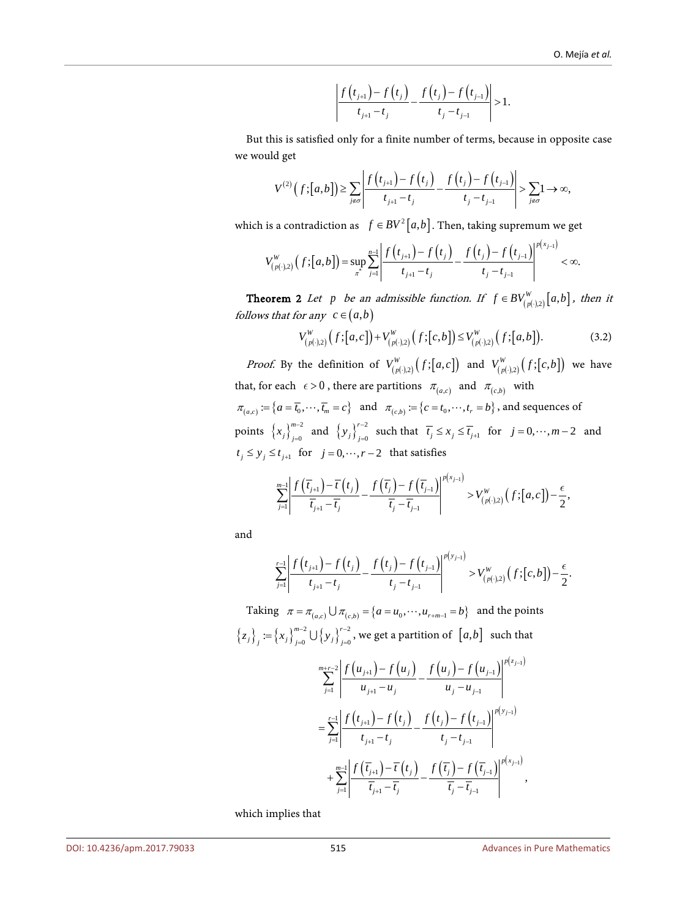$$
\left| \frac{f(t_{j+1}) - f(t_j)}{t_{j+1} - t_j} - \frac{f(t_j) - f(t_{j-1})}{t_j - t_{j-1}} \right| > 1.
$$

But this is satisfied only for a finite number of terms, because in opposite case we would get

$$
V^{(2)}\left(f;[a,b]\right) \geq \sum_{j \notin \sigma} \left| \frac{f\left(t_{j+1}\right) - f\left(t_{j}\right)}{t_{j+1} - t_{j}} - \frac{f\left(t_{j}\right) - f\left(t_{j-1}\right)}{t_{j} - t_{j-1}} \right| > \sum_{j \notin \sigma} 1 \to \infty,
$$

which is a contradiction as  $f \in BV^2 [a, b]$ . Then, taking supremum we get

$$
V_{(p(\cdot),2)}^W(f; [a,b]) = \sup_{\pi^*} \sum_{j=1}^{n-1} \left| \frac{f(t_{j+1}) - f(t_j)}{t_{j+1} - t_j} - \frac{f(t_j) - f(t_{j-1})}{t_j - t_{j-1}} \right|^{p(x_{j-1})} < \infty.
$$

**Theorem 2** Let *p* be an admissible function. If  $f \in BV_{(p(\cdot),2)}^W[a,b]$ , then it *follows that for any*  $c \in (a, b)$ 

$$
V_{(p(\cdot),2)}^W(f; [a,c]) + V_{(p(\cdot),2)}^W(f; [c,b]) \leq V_{(p(\cdot),2)}^W(f; [a,b]).
$$
\n(3.2)

*Proof.* By the definition of  $V^W_{(p(\cdot),2)}(f; [a, c])$  and  $V^W_{(p(\cdot),2)}(f; [c, b])$  we have that, for each  $\epsilon > 0$ , there are partitions  $\pi_{(a,c)}$  and  $\pi_{(c,b)}$  with  $\pi_{(a,c)} := \{a = \overline{t_0}, \dots, \overline{t_m} = c\}$  and  $\pi_{(c,b)} := \{c = t_0, \dots, t_r = b\}$ , and sequences of points  $\left\{x_j\right\}_{j=0}^{m-2}$  $\left\{ x_j \right\}_{j=0}^{m-2}$  and  $\left\{ y_j \right\}_{j=0}^{r-2}$  $y_j\Big|_{j=0}^{r-2}$  such that  $\overline{t}_j \le x_j \le \overline{t}_{j+1}$  for  $j=0,\dots, m-2$  and  $t_i \le y_i \le t_{i+1}$  for  $j = 0, \dots, r-2$  that satisfies

$$
\sum_{j=1}^{m-1} \left| \frac{f\left(\overline{t}_{j+1}\right) - \overline{t}\left(t_j\right)}{\overline{t}_{j+1} - \overline{t}_j} - \frac{f\left(\overline{t}_j\right) - f\left(\overline{t}_{j-1}\right)}{\overline{t}_j - \overline{t}_{j-1}} \right|^{p\left(x_{j-1}\right)} > V_{(p\left(\cdot),2)}^W\left(f; [a,c]\right) - \frac{\epsilon}{2},
$$

and

$$
\sum_{j=1}^{r-1} \left| \frac{f(t_{j+1}) - f(t_j)}{t_{j+1} - t_j} - \frac{f(t_j) - f(t_{j-1})}{t_j - t_{j-1}} \right|^{p(y_{j-1})} > V_{(p(\cdot),2)}^W(f; [c, b]) - \frac{\epsilon}{2}.
$$

Taking  $\pi = \pi_{(a,c)} \cup \pi_{(c,b)} = \{a = u_0, \dots, u_{r+m-1} = b\}$  and the points  ${z_{i}}_{j} := {x_{j}}_{j=0}^{m-2} \cup {y_{j}}_{j=0}^{r-2}$ , we get a partition of  $[a,b]$  such that

$$
\sum_{j=1}^{m+r-2} \frac{f(u_{j+1}) - f(u_j)}{u_{j+1} - u_j} - \frac{f(u_j) - f(u_{j-1})}{u_j - u_{j-1}} \Big|^{p(z_{j-1})}
$$
\n
$$
= \sum_{j=1}^{r-1} \frac{f(t_{j+1}) - f(t_j)}{t_{j+1} - t_j} - \frac{f(t_j) - f(t_{j-1})}{t_j - t_{j-1}} \Big|^{p(y_{j-1})}
$$
\n
$$
+ \sum_{j=1}^{m-1} \frac{f(\overline{t}_{j+1}) - \overline{t}(t_j)}{\overline{t}_{j+1} - \overline{t}_j} - \frac{f(\overline{t}_j) - f(\overline{t}_{j-1})}{\overline{t}_j - \overline{t}_{j-1}} \Big|^{p(x_{j-1})},
$$

which implies that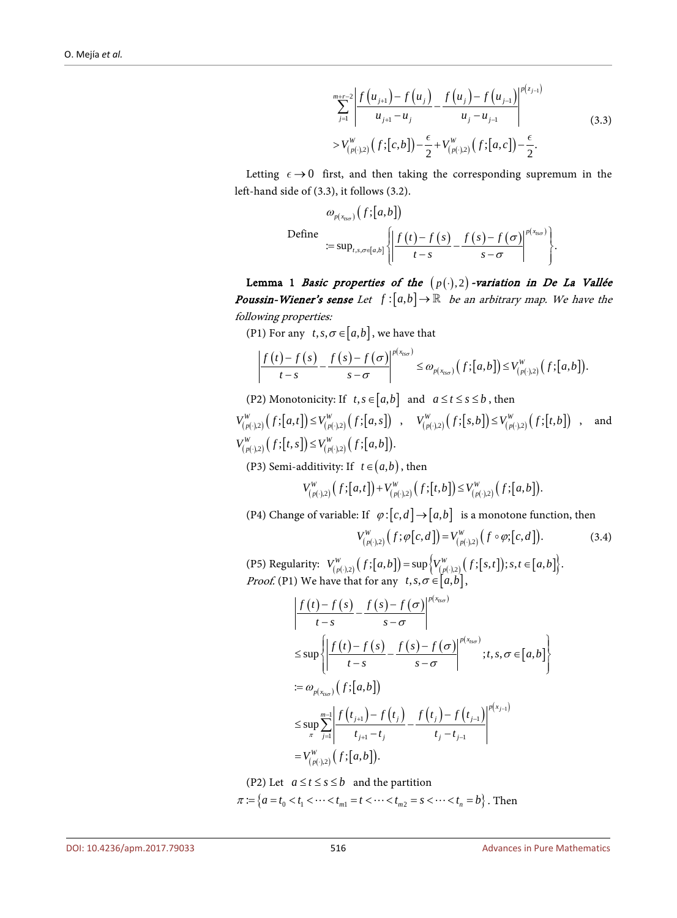$$
\sum_{j=1}^{m+r-2} \left| \frac{f(u_{j+1}) - f(u_j)}{u_{j+1} - u_j} - \frac{f(u_j) - f(u_{j-1})}{u_j - u_{j-1}} \right|^{p(z_{j-1})}
$$
\n
$$
> V_{(p(\cdot),2)}^W \left( f; [c, b] \right) - \frac{\epsilon}{2} + V_{(p(\cdot),2)}^W \left( f; [a, c] \right) - \frac{\epsilon}{2}.
$$
\n(3.3)

Letting  $\epsilon \rightarrow 0$  first, and then taking the corresponding supremum in the left-hand side of (3.3), it follows (3.2).

$$
\omega_{p(x_{\text{top}})}(f; [a,b])
$$
\n
$$
\text{Define } \lim_{t \to s, \sigma \in [a,b]} \left\{ \left| \frac{f(t) - f(s)}{t - s} - \frac{f(s) - f(\sigma)}{s - \sigma} \right|^{p(x_{\text{top}})} \right\}.
$$

Lemma 1 Basic properties of the  $(p(\cdot),2)$ -variation in De La Vallée **Poussin-Wiener's sense** Let  $f:[a,b]\to\mathbb{R}$  be an arbitrary map. We have the following properties:

(P1) For any  $t, s, \sigma \in [a, b]$ , we have that

$$
\left|\frac{f(t)-f(s)}{t-s}-\frac{f(s)-f(\sigma)}{s-\sigma}\right|^{p(x_{ts\sigma})}\leq \omega_{p(x_{ts\sigma})}\left(f;[a,b]\right)\leq V^W_{(p(\cdot),2)}\left(f;[a,b]\right).
$$

(P2) Monotonicity: If  $t, s \in [a, b]$  and  $a \le t \le s \le b$ , then

$$
\begin{array}{ccc} V_{({p(\cdot )},2)}^W\left( {f;[a,t]} \right) \!\le\! V_{({p(\cdot )},2)}^W\left( {f;[a,s]} \right) & , & V_{({p(\cdot )},2)}^W\left( {f;[s,b]} \right) \!\le\! V_{({p(\cdot )},2)}^W\left( {f;[t,b]} \right) & , & \text{and} \\ V_{({p(\cdot )},2)}^W\left( {f;[t,s]} \right) \!\le\! V_{({p(\cdot )},2)}^W\left( {f;[a,b]} \right) . & & \end{array}
$$

(P3) Semi-additivity: If  $t \in (a, b)$ , then

$$
V^{\rm W}_{(p(\cdot), 2)}\Big(f; \big[a, t\big]\!\Big) + V^{\rm W}_{(p(\cdot), 2)}\Big(f; \big[t, b\big]\!\Big) \!\leq\! V^{\rm W}_{(p(\cdot), 2)}\Big(f; \big[a, b\big]\!\Big).
$$

(P4) Change of variable: If  $\varphi$ :  $[c, d] \rightarrow [a, b]$  is a monotone function, then

$$
V^W_{(p(\cdot),2)}(f;\varphi[c,d]) = V^W_{(p(\cdot),2)}(f \circ \varphi; [c,d]).
$$
 (3.4)

(P5) Regularity:  $V^W_{(p(\cdot),2)}(f; [a,b]) = \sup \{V^W_{(p(\cdot),2)}(f; [s,t]); s, t \in [a,b]\}.$ *Proof.* (P1) We have that for any  $t, s, \sigma \in [a, b]$ ,

$$
\begin{split}\n&\left|\frac{f(t)-f(s)}{t-s}-\frac{f(s)-f(\sigma)}{s-\sigma}\right|^{p(x_{\text{iso}})} \\
&\leq \sup\left\{\left|\frac{f(t)-f(s)}{t-s}-\frac{f(s)-f(\sigma)}{s-\sigma}\right|^{p(x_{\text{iso}})};t,s,\sigma\in[a,b]\right\} \\
&:=\omega_{p(x_{\text{iso}})}\left(f;[a,b]\right) \\
&\leq \sup_{\pi}\sum_{j=1}^{m-1}\left|\frac{f(t_{j+1})-f(t_j)}{t_{j+1}-t_j}-\frac{f(t_j)-f(t_{j-1})}{t_j-t_{j-1}}\right|^{p(x_{j-1})} \\
&=V_{(p(\cdot),2)}^W\left(f;[a,b]\right).\n\end{split}
$$

(P2) Let  $a \le t \le s \le b$  and the partition  $\pi := \left\{a = t_0 < t_1 < \cdots < t_{m1} = t < \cdots < t_{m2} = s < \cdots < t_n = b\right\}$  . Then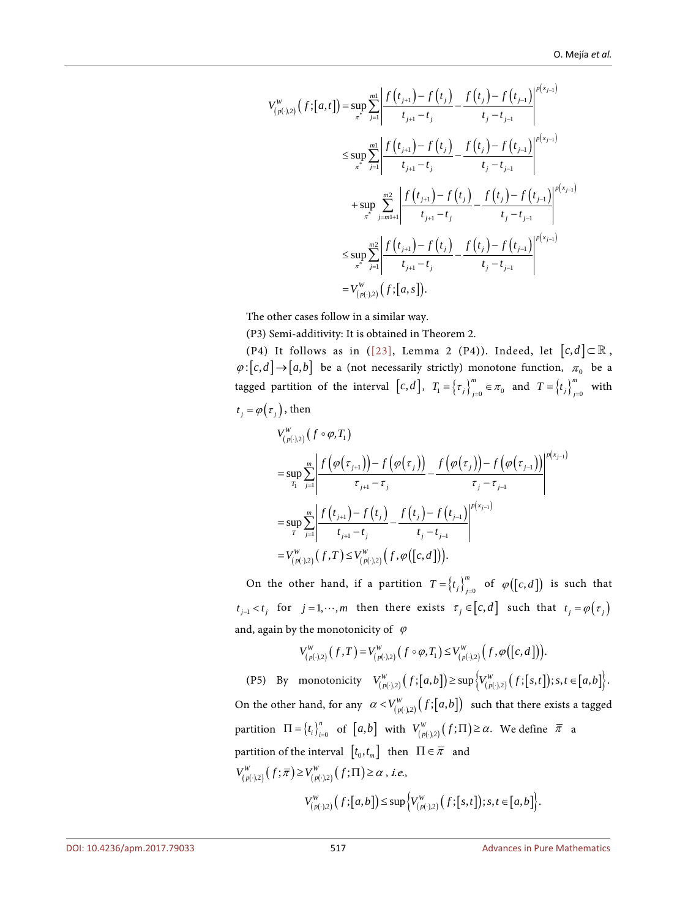$$
V_{(p(\cdot),2)}^{W}(f; [a, t]) = \sup_{\pi^{*}} \sum_{j=1}^{m} \left| \frac{f(t_{j+1}) - f(t_{j})}{t_{j+1} - t_{j}} - \frac{f(t_{j}) - f(t_{j-1})}{t_{j} - t_{j-1}} \right|^{p(x_{j-1})}
$$
  
\n
$$
\leq \sup_{\pi^{*}} \sum_{j=1}^{m} \left| \frac{f(t_{j+1}) - f(t_{j})}{t_{j+1} - t_{j}} - \frac{f(t_{j}) - f(t_{j-1})}{t_{j} - t_{j-1}} \right|^{p(x_{j-1})}
$$
  
\n
$$
+ \sup_{\pi^{*}} \sum_{j=m+1}^{m} \left| \frac{f(t_{j+1}) - f(t_{j})}{t_{j+1} - t_{j}} - \frac{f(t_{j}) - f(t_{j-1})}{t_{j} - t_{j-1}} \right|^{p(x_{j-1})}
$$
  
\n
$$
\leq \sup_{\pi^{*}} \sum_{j=1}^{m} \left| \frac{f(t_{j+1}) - f(t_{j})}{t_{j+1} - t_{j}} - \frac{f(t_{j}) - f(t_{j-1})}{t_{j} - t_{j-1}} \right|^{p(x_{j-1})}
$$
  
\n
$$
= V_{(p(\cdot),2)}^{W}(f; [a, s]).
$$

The other cases follow in a similar way.

(P3) Semi-additivity: It is obtained in Theorem 2.

(P4) It follows as in [\(\[23\],](#page-25-1) Lemma 2 (P4)). Indeed, let  $[c,d] \subset \mathbb{R}$ ,  $\varphi$ :  $[c, d] \rightarrow [a, b]$  be a (not necessarily strictly) monotone function,  $\pi_0$  be a tagged partition of the interval  $[c,d]$ ,  $T_1 = \{\tau_j\}_{j=0}^m \in \pi_0$  $T_1 = \left\{ \tau_j \right\}_{j=0}^m \in \pi_0 \text{ and } T = \left\{ t_j \right\}_{j=0}^m$  $T = \left\{t_j\right\}_{j=0}^m$  with  $t_i = \varphi(\tau_i)$ , then

$$
V_{(p(\cdot),2)}^{W}(f \circ \varphi, T_{1})
$$
\n
$$
= \sup_{T_{1}} \sum_{j=1}^{m} \left| \frac{f(\varphi(\tau_{j+1})) - f(\varphi(\tau_{j}))}{\tau_{j+1} - \tau_{j}} - \frac{f(\varphi(\tau_{j})) - f(\varphi(\tau_{j-1}))}{\tau_{j} - \tau_{j-1}} \right|^{p(x_{j-1})}
$$
\n
$$
= \sup_{T} \sum_{j=1}^{m} \left| \frac{f(t_{j+1}) - f(t_{j})}{t_{j+1} - t_{j}} - \frac{f(t_{j}) - f(t_{j-1})}{t_{j} - t_{j-1}} \right|^{p(x_{j-1})}
$$
\n
$$
= V_{(p(\cdot),2)}^{W}(f, T) \leq V_{(p(\cdot),2)}^{W}(f, \varphi([c, d])).
$$

On the other hand, if a partition  $T = \{t_j\}_{j=0}^m$  $T = \{t_j\}_{j=0}^m$  of  $\varphi([c,d])$  is such that  $t_{j-1} < t_j$  for  $j = 1, \dots, m$  then there exists  $\tau_j \in [c, d]$  such that  $t_j = \varphi(\tau_j)$ and, again by the monotonicity of  $\varphi$ 

$$
V^W_{\left(p(\cdot),2\right)}\left(f,T\right)=V^W_{\left(p(\cdot),2\right)}\left(f\circ\varphi,T_1\right)\leq V^W_{\left(p(\cdot),2\right)}\left(f,\varphi\bigl(\bigl[c,d\bigr]\bigr)\right).
$$

(P5) By monotonicity  $V^W_{(p(\cdot),2)}(f;[a,b]) \ge \sup \{ V^W_{(p(\cdot),2)}(f;[s,t]); s,t \in [a,b] \}.$ On the other hand, for any  $\alpha < V^W_{( \rho(\cdot), 2)}( f; [a, b] )$  such that there exists a tagged partition  $\Pi = \{t_i\}_{i=0}^n$  of  $[a,b]$  with  $V_{(p(\cdot),2)}^W(f;\Pi) \ge \alpha$ . We define  $\bar{\pi}$  a partition of the interval  $[t_0, t_m]$  then  $\Pi \in \overline{\pi}$  and  $V^W_{( p(\cdot), 2)} \big( f; \overline{x} \big) \geq V^W_{( p(\cdot), 2)} \big( f; \Pi \big) \geq \alpha \text{ , i.e., }$  $V^W_{(p(\cdot),2)}(f;[a,b]) \leq \sup \{V^W_{(p(\cdot),2)}(f;[s,t]); s,t \in [a,b]\}.$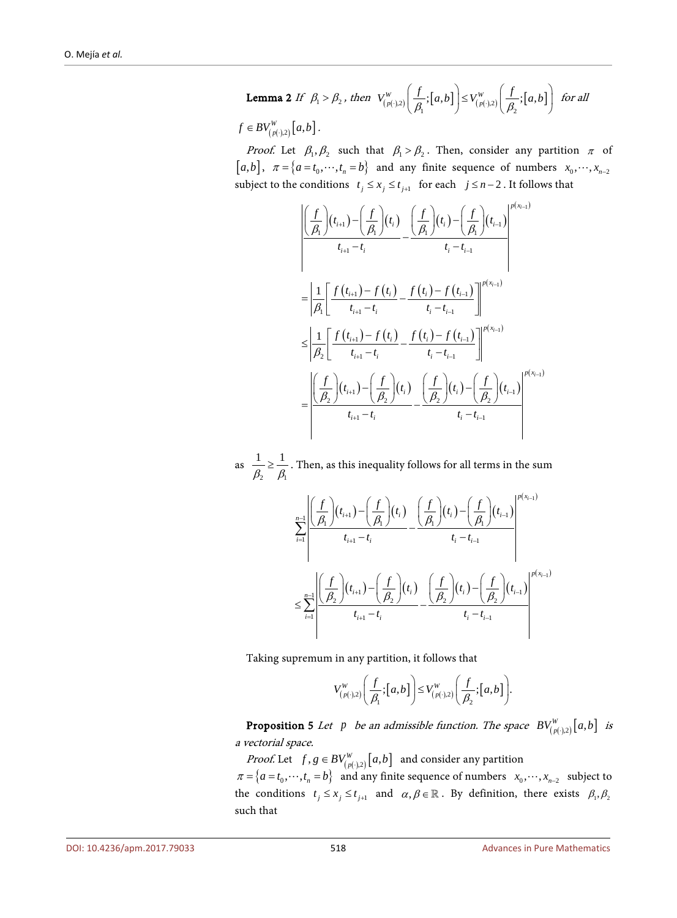**Lemma 2** If 
$$
\beta_1 > \beta_2
$$
, then  $V_{(p(\cdot),2)}^W\left(\frac{f}{\beta_1};[a,b]\right) \leq V_{(p(\cdot),2)}^W\left(\frac{f}{\beta_2};[a,b]\right)$  for all  $f \in BV_{(p(\cdot),2)}^W\left[a,b\right]$ .

*Proof.* Let  $\beta_1, \beta_2$  such that  $\beta_1 > \beta_2$ . Then, consider any partition  $\pi$  of  $[a,b], \ \pi = \{a = t_0, \dots, t_n = b\}$  and any finite sequence of numbers  $x_0, \dots, x_{n-2}$ subject to the conditions  $t_j \le x_j \le t_{j+1}$  for each  $j \le n-2$ . It follows that

$$
\frac{\left(\frac{f}{\beta_{1}}\right)(t_{i+1}) - \left(\frac{f}{\beta_{1}}\right)(t_{i})}{t_{i+1} - t_{i}} - \frac{\left(\frac{f}{\beta_{1}}\right)(t_{i}) - \left(\frac{f}{\beta_{1}}\right)(t_{i-1})}{t_{i} - t_{i-1}}\right|^{p(x_{i-1})}
$$
\n
$$
= \frac{1}{\beta_{1}} \left[ \frac{f(t_{i+1}) - f(t_{i})}{t_{i+1} - t_{i}} - \frac{f(t_{i}) - f(t_{i-1})}{t_{i} - t_{i-1}} \right]^{p(x_{i-1})}
$$
\n
$$
\leq \frac{1}{\beta_{2}} \left[ \frac{f(t_{i+1}) - f(t_{i})}{t_{i+1} - t_{i}} - \frac{f(t_{i}) - f(t_{i-1})}{t_{i} - t_{i-1}} \right]^{p(x_{i-1})}
$$
\n
$$
= \frac{\left(\frac{f}{\beta_{2}}\right)(t_{i+1}) - \left(\frac{f}{\beta_{2}}\right)(t_{i})}{t_{i+1} - t_{i}} - \frac{\left(\frac{f}{\beta_{2}}\right)(t_{i}) - \left(\frac{f}{\beta_{2}}\right)(t_{i-1})}{t_{i} - t_{i-1}} \right|^{p(x_{i-1})}
$$

as 2  $P_1$  $1 \t1$  $\frac{1}{\beta_2} \geq \frac{1}{\beta_1}$ . Then, as this inequality follows for all terms in the sum

$$
\sum_{i=1}^{n-1} \frac{\left(\frac{f}{\beta_{1}}\right)(t_{i+1}) - \left(\frac{f}{\beta_{1}}\right)(t_{i})}{t_{i+1} - t_{i}} - \frac{\left(\frac{f}{\beta_{1}}\right)(t_{i}) - \left(\frac{f}{\beta_{1}}\right)(t_{i-1})}{t_{i} - t_{i-1}} \right|^{p(x_{i-1})}
$$
\n
$$
\leq \sum_{i=1}^{n-1} \frac{\left|\left(\frac{f}{\beta_{2}}\right)(t_{i+1}) - \left(\frac{f}{\beta_{2}}\right)(t_{i}) - \left(\frac{f}{\beta_{2}}\right)(t_{i}) - \left(\frac{f}{\beta_{2}}\right)(t_{i-1})\right|^{p(x_{i-1})}}{t_{i} - t_{i-1}}
$$

Taking supremum in any partition, it follows that

$$
V^W_{(p(\cdot),2)}\bigg(\frac{f}{\beta_1};[a,b]\bigg)\leq V^W_{(p(\cdot),2)}\bigg(\frac{f}{\beta_2};[a,b]\bigg).
$$

**Proposition 5** Let *p* be an admissible function. The space  $BV_{(p(\cdot),2)}^W[a,b]$  is a vectorial space.

*Proof.* Let  $f, g \in BV_{(p(\cdot), 2)}^W$  [a,b] and consider any partition

 $\pi = \{a = t_0, \dots, t_n = b\}$  and any finite sequence of numbers  $x_0, \dots, x_{n-2}$  subject to the conditions  $t_j \le x_j \le t_{j+1}$  and  $\alpha, \beta \in \mathbb{R}$ . By definition, there exists  $\beta_1, \beta_2$ such that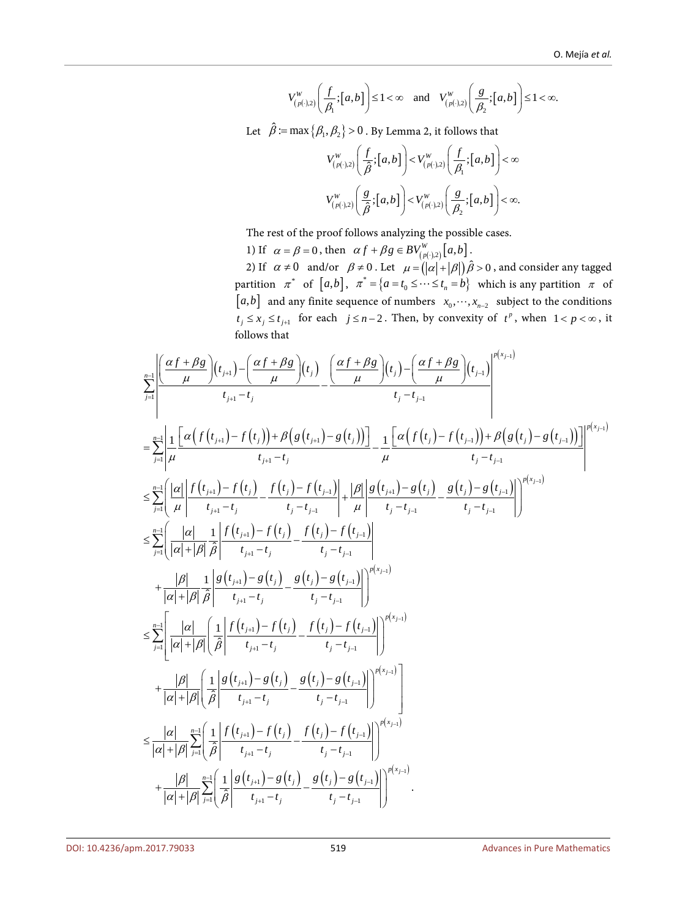$$
V^{\scriptscriptstyle W}_{\scriptscriptstyle \left(p(\cdot), 2\right)}\!\!\left(\frac{f}{\beta_{\!1}}; \!\left[a, b\right]\right)\!\!\leq\! 1<\infty\quad\text{and}\quad V^{\scriptscriptstyle W}_{\scriptscriptstyle \left(p(\cdot), 2\right)}\!\!\left(\frac{g}{\beta_{\!2}}; \!\left[a, b\right]\right)\!\!\leq\! 1<\infty.
$$

Let  $\;\hat{\beta} \coloneqq \max\left\{\beta_{\mathrm{l}}, \beta_{\mathrm{2}}\right\}$   $> 0$  . By Lemma 2, it follows that

$$
V_{(p(\cdot),2)}^W\left(\frac{f}{\hat{\beta}};[a,b]\right) < V_{(p(\cdot),2)}^W\left(\frac{f}{\beta_1};[a,b]\right) < \infty
$$
  

$$
V_{(p(\cdot),2)}^W\left(\frac{g}{\hat{\beta}};[a,b]\right) < V_{(p(\cdot),2)}^W\left(\frac{g}{\beta_2};[a,b]\right) < \infty.
$$

The rest of the proof follows analyzing the possible cases.

1) If  $\alpha = \beta = 0$ , then  $\alpha f + \beta g \in BV_{(p(\cdot), 2)}^W[a, b]$ .

2) If  $\alpha \neq 0$  and/or  $\beta \neq 0$ . Let  $\mu = (|\alpha| + |\beta|) \hat{\beta} > 0$ , and consider any tagged partition  $\pi^*$  of  $[a,b]$ ,  $\pi^* = \{a = t_0 \le \dots \le t_n = b\}$  which is any partition  $\pi$  of [ $a,b$ ] and any finite sequence of numbers  $x_0, \dots, x_{n-2}$  subject to the conditions  $t_j \le x_j \le t_{j+1}$  for each  $j \le n-2$ . Then, by convexity of  $t^p$ , when  $1 < p < \infty$ , it follows that

$$
\sum_{j=1}^{n-1} \left[ \frac{\frac{\alpha f + \beta g}{\mu} \left| (t_{j+1}) - \left( \frac{\alpha f + \beta g}{\mu} \right) (t_j) - \left( \frac{\alpha f + \beta g}{\mu} \right) (t_j) - \left( \frac{\alpha f + \beta g}{\mu} \right) (t_{j-1}) \right]^{r(x_{j-1})}}{t_{j-1-j-1}} \right]
$$
\n
$$
= \sum_{j=1}^{n-1} \left| \frac{1}{\mu} \frac{\left[ \alpha \left( f(t_{j+1}) - f(t_j) \right) + \beta \left( g(t_{j+1}) - g(t_j) \right) \right]}{t_{j+1}-t_j} - \frac{1}{\mu} \frac{\left[ \alpha \left( f(t_j) - f(t_{j-1}) \right) + \beta \left( g(t_j) - g(t_{j-1}) \right) \right]}{t_j-t_{j-1}} \right]^{r(x_{j-1})}}
$$
\n
$$
\leq \sum_{j=1}^{n-1} \left( \frac{|\alpha|}{\mu} \left| \frac{f(t_{j+1}) - f(t_j)}{t_{j+1}-t_j} - \frac{f(t_j) - f(t_{j-1})}{t_j-t_{j-1}} \right| + \frac{|\beta|}{\mu} \left| \frac{g(t_{j+1}) - g(t_j)}{t_j-t_{j-1}} - \frac{g(t_j) - g(t_{j-1})}{t_j-t_{j-1}} \right|^{r(x_{j-1})}
$$
\n
$$
\leq \sum_{j=1}^{n-1} \left( \frac{|\alpha|}{|\alpha|+|\beta|} \frac{1}{\beta} \left| \frac{f(t_{j+1}) - f(t_j)}{t_{j+1}-t_j} - \frac{f(t_j) - f(t_{j-1})}{t_j-t_{j-1}} \right|^{r(x_{j-1})}
$$
\n
$$
\leq \sum_{j=1}^{n-1} \left[ \frac{|\alpha|}{|\alpha|+|\beta|} \left| \frac{1}{\beta} \left| \frac{f(t_{j+1}) - f(t_j)}{t_{j+1}-t_j} - \frac{g(t_j) - g(t_{j-1})}{t_j-t_{j-1}} \right|^{r(x_{j-1})} \right|^{r(x_{j-1})}
$$
\n
$$
\leq \sum_{j=1}^{n-1} \left[ \frac{|\alpha|}{|\alpha|+|\beta
$$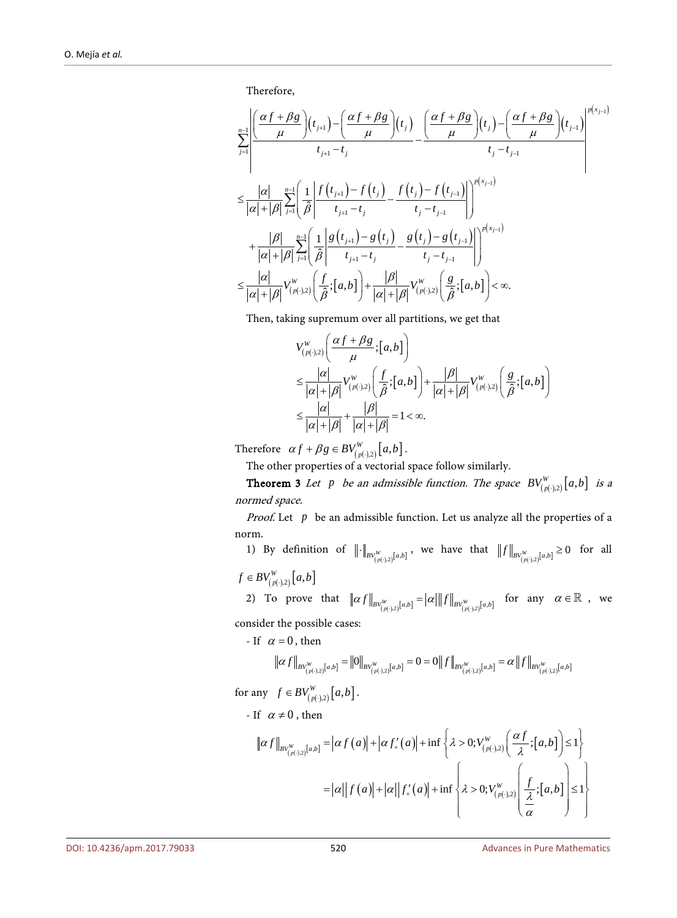Therefore,

$$
\sum_{j=1}^{n-1} \frac{\left| \frac{\alpha f + \beta g}{\mu} \right| (t_{j+1}) - \left( \frac{\alpha f + \beta g}{\mu} \right) (t_j)}{t_{j+1} - t_j} - \frac{\left( \frac{\alpha f + \beta g}{\mu} \right) (t_j) - \left( \frac{\alpha f + \beta g}{\mu} \right) (t_{j-1})}{t_j - t_{j-1}} \right|^{p(x_{j-1})}
$$
\n
$$
\leq \frac{|\alpha|}{|\alpha| + |\beta|} \sum_{j=1}^{n-1} \left( \frac{1}{\beta} \left| \frac{f(t_{j+1}) - f(t_j)}{t_{j+1} - t_j} - \frac{f(t_j) - f(t_{j-1})}{t_j - t_{j-1}} \right| \right)^{p(x_{j-1})}
$$
\n
$$
+ \frac{|\beta|}{|\alpha| + |\beta|} \sum_{j=1}^{n-1} \left( \frac{1}{\beta} \left| \frac{g(t_{j+1}) - g(t_j)}{t_{j+1} - t_j} - \frac{g(t_j) - g(t_{j-1})}{t_j - t_{j-1}} \right| \right)^{p(x_{j-1})}
$$
\n
$$
\leq \frac{|\alpha|}{|\alpha| + |\beta|} V_{(p(\cdot),2)}^W \left( \frac{f}{\beta}; [a, b] \right) + \frac{|\beta|}{|\alpha| + |\beta|} V_{(p(\cdot),2)}^W \left( \frac{g}{\beta}; [a, b] \right) < \infty.
$$

Then, taking supremum over all partitions, we get that

$$
V_{(p(\cdot),2)}^{\mathbf{W}}\left(\frac{\alpha f + \beta g}{\mu};[a,b]\right)
$$
  
\n
$$
\leq \frac{|\alpha|}{|\alpha| + |\beta|} V_{(p(\cdot),2)}^{\mathbf{W}}\left(\frac{f}{\hat{\beta}};[a,b]\right) + \frac{|\beta|}{|\alpha| + |\beta|} V_{(p(\cdot),2)}^{\mathbf{W}}\left(\frac{g}{\hat{\beta}};[a,b]\right)
$$
  
\n
$$
\leq \frac{|\alpha|}{|\alpha| + |\beta|} + \frac{|\beta|}{|\alpha| + |\beta|} = 1 < \infty.
$$

Therefore  $\alpha f + \beta g \in BV_{(p(\cdot),2)}^W[a, b]$ .

The other properties of a vectorial space follow similarly.

**Theorem 3** Let *p* be an admissible function. The space  $BV_{(p(\cdot),2)}^W[a,b]$  is a normed space.

*Proof.* Let  $p$  be an admissible function. Let us analyze all the properties of a norm.

1) By definition of  $\| \cdot \|_{BV_{(p(\cdot),2)}^W[a,b]}$ , we have that  $\| f \|_{BV_{(p(\cdot),2)}^W[a,b]} \ge 0$  for all  $f \in BV_{(p(\cdot),2)}^W[a,b]$ 

2) To prove that  $\|\alpha f\|_{BV_{(p(\cdot),2)}^W[a,b]} = |\alpha| \|f\|_{BV_{(p(\cdot),2)}^W[a,b]}$  for any  $\alpha \in \mathbb{R}$ , we consider the possible cases:

- If 
$$
\alpha = 0
$$
, then  
\n
$$
\|\alpha f\|_{BV_{(P(\cdot),2)}^W[a,b]} = \|0\|_{BV_{(P(\cdot),2)}^W[a,b]} = 0 = 0\|f\|_{BV_{(P(\cdot),2)}^W[a,b]} = \alpha \|f\|_{BV_{(P(\cdot),2)}^W[a,b]}
$$

for any  $f \in BV_{(p(\cdot),2)}^W[a, b]$ .

- If  $\alpha \neq 0$ , then

$$
\|\alpha f\|_{BV_{(p(\cdot),2)}^W[a,b]} = \left|\alpha f(a)\right| + \left|\alpha f'_+(a)\right| + \inf\left\{\lambda > 0; V_{(p(\cdot),2)}^W\left(\frac{\alpha f}{\lambda};[a,b]\right) \le 1\right\}
$$

$$
= |\alpha| |f(a)| + |\alpha| |f'_+(a)| + \inf\left\{\lambda > 0; V_{(p(\cdot),2)}^W\left(\frac{f}{\lambda};[a,b]\right) \le 1\right\}
$$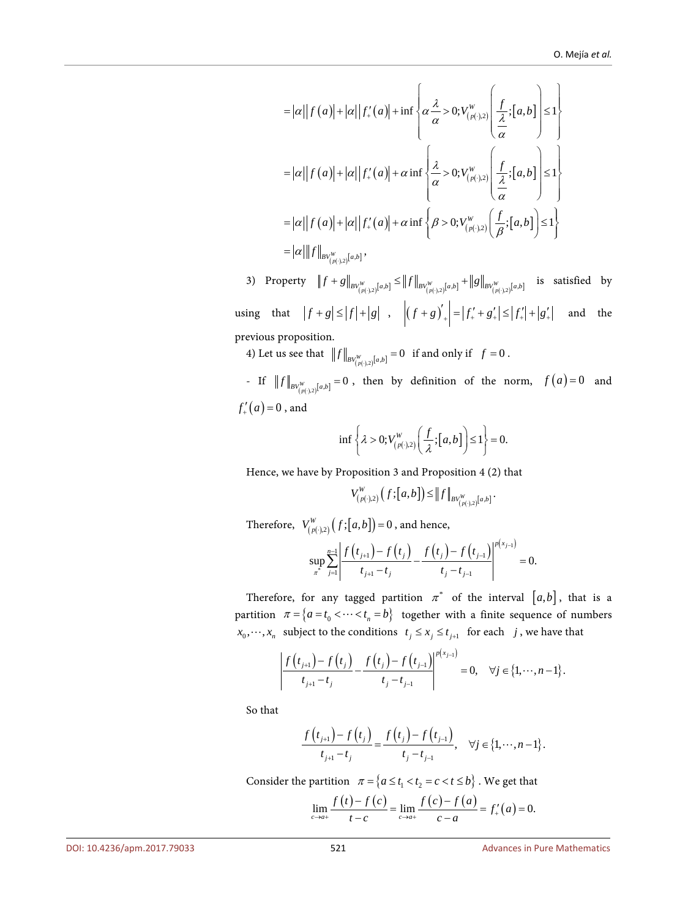$$
= |\alpha||f(a)| + |\alpha||f'_{+}(a)| + \inf \left\{\alpha \frac{\lambda}{\alpha} > 0; V_{(p(\cdot),2)}^{W}\left(\frac{f}{\frac{\lambda}{\alpha}}; [a,b]\right) \le 1\right\}
$$
  

$$
= |\alpha||f(a)| + |\alpha||f'_{+}(a)| + \alpha \inf \left\{\frac{\lambda}{\alpha} > 0; V_{(p(\cdot),2)}^{W}\left(\frac{f}{\frac{\lambda}{\alpha}}; [a,b]\right) \le 1\right\}
$$
  

$$
= |\alpha||f(a)| + |\alpha||f'_{+}(a)| + \alpha \inf \left\{\beta > 0; V_{(p(\cdot),2)}^{W}\left(\frac{f}{\beta}; [a,b]\right) \le 1\right\}
$$
  

$$
= |\alpha||f|_{BV_{(p(\cdot),2)}^{W}[a,b]},
$$

3) Property  $||f + g||_{BV_{(p(\cdot),2)}^W[a,b]} \leq ||f||_{BV_{(p(\cdot),2)}^W[a,b]} + ||g||_{BV_{(p(\cdot),2)}^W[a,b]}$  is satisfied by using that  $|f+g| \le |f| + |g|$ ,  $|(f+g)'_+| = |f'_+ + g'_+| \le |f'_+| + |g'_+|$  and the previous proposition.

4) Let us see that  $||f||_{BV_{(p(\cdot),2)}^W[a,b]} = 0$  if and only if  $f = 0$ .

- If  $||f||_{BV_{(p(1),2)}^W[a,b]} = 0$ , then by definition of the norm,  $f(a) = 0$  and  $f'_{+}(a)=0$  , and

$$
\inf \left\{ \lambda > 0; V_{(p(\cdot),2)}^W\bigg(\frac{f}{\lambda};[a,b]\bigg) \le 1 \right\} = 0.
$$

Hence, we have by Proposition 3 and Proposition 4 (2) that

$$
V^W_{(p(\cdot),2)}(f; [a,b]) \leq ||f||_{BV^W_{(p(\cdot),2)}[a,b]}.
$$

Therefore,  $V_{( p(\cdot) ,2 )}^W \big( f ; \big[ a , b \big] \big) = 0$ , and hence,

$$
\sup_{\pi^*}\sum_{j=1}^{n-1}\left|\frac{f(t_{j+1})-f(t_j)}{t_{j+1}-t_j}-\frac{f(t_j)-f(t_{j-1})}{t_j-t_{j-1}}\right|^{p(x_{j-1})}=0.
$$

Therefore, for any tagged partition  $\pi^*$  of the interval  $[a,b]$ , that is a partition  $\pi = \{a = t_0 < \cdots < t_n = b\}$  together with a finite sequence of numbers  $x_0, \dots, x_n$  subject to the conditions  $t_j \le x_j \le t_{j+1}$  for each *j*, we have that

$$
\left|\frac{f(t_{j+1})-f(t_j)}{t_{j+1}-t_j}-\frac{f(t_j)-f(t_{j-1})}{t_j-t_{j-1}}\right|^{p(x_{j-1})}=0, \quad \forall j \in \{1,\dots,n-1\}.
$$

So that

$$
\frac{f(t_{j+1})-f(t_j)}{t_{j+1}-t_j} = \frac{f(t_j)-f(t_{j-1})}{t_j-t_{j-1}}, \quad \forall j \in \{1, \cdots, n-1\}.
$$

Consider the partition  $\pi = \{a \le t_1 < t_2 = c < t \le b\}$ . We get that

$$
\lim_{c \to a+} \frac{f(t) - f(c)}{t - c} = \lim_{c \to a+} \frac{f(c) - f(a)}{c - a} = f'_{+}(a) = 0.
$$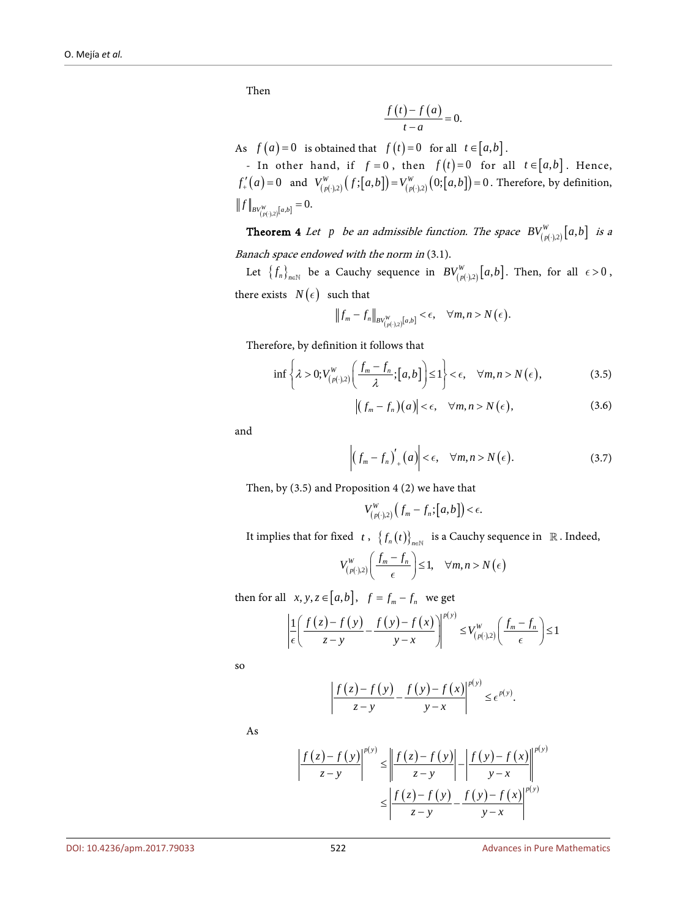Then

$$
\frac{f(t)-f(a)}{t-a}=0.
$$

As  $f(a)=0$  is obtained that  $f(t)=0$  for all  $t \in [a,b]$ .

- In other hand, if  $f = 0$ , then  $f(t)=0$  for all  $t \in [a,b]$ . Hence,  $f'_{+}(a) = 0$  and  $V^{W}_{(p(\cdot),2)}(f; [a,b]) = V^{W}_{(p(\cdot),2)}(0; [a,b]) = 0$ . Therefore, by definition,  $f\|_{BV^W_{(p(\cdot),2)}[a,b]} = 0.$ 

**Theorem 4** Let *p* be an admissible function. The space  $BV_{(p(\cdot),2)}^W[a,b]$  is a Banach space endowed with the norm in (3.1).

Let  $\{f_n\}_{n\in\mathbb{N}}$  be a Cauchy sequence in  $BV^W_{(p(\cdot),2)}[a,b]$ . Then, for all  $\epsilon > 0$ , there exists  $N(\epsilon)$  such that

$$
||f_m-f_n||_{BV^W_{(p(\cdot),2)}[a,b]} < \epsilon, \quad \forall m,n > N(\epsilon).
$$

Therefore, by definition it follows that

$$
\inf \left\{ \lambda > 0; V_{(p(\cdot),2)}^W\bigg(\frac{f_m - f_n}{\lambda}; [a,b] \bigg) \le 1 \right\} < \epsilon, \quad \forall m, n > N(\epsilon), \tag{3.5}
$$

$$
\left| \left( f_m - f_n \right) \right| < \epsilon, \quad \forall m, n > N \left( \epsilon \right), \tag{3.6}
$$

and

$$
\left| \left( f_m - f_n \right)'_{+}(a) \right| < \epsilon, \quad \forall m, n > N(\epsilon). \tag{3.7}
$$

Then, by (3.5) and Proposition 4 (2) we have that

$$
V^W_{(p(\cdot),2)}(f_m-f_n;[a,b])<\epsilon.
$$

It implies that for fixed *t*,  $\{f_n(t)\}_{n\in\mathbb{N}}$  is a Cauchy sequence in  $\mathbb{R}$ . Indeed,

$$
V_{(p(\cdot),2)}^W\bigg(\frac{f_m-f_n}{\epsilon}\bigg)\leq 1, \quad \forall m,n>N(\epsilon)
$$

then for all  $x, y, z \in [a, b], f = f_m - f_n$  we get

$$
\left|\frac{1}{\epsilon}\left(\frac{f(z)-f(y)}{z-y}-\frac{f(y)-f(x)}{y-x}\right)\right|^{p(y)} \le V_{(p(\cdot),2)}^W\left(\frac{f_m-f_n}{\epsilon}\right) \le 1
$$

so

$$
\left|\frac{f(z)-f(y)}{z-y}-\frac{f(y)-f(x)}{y-x}\right|^{p(y)}\leq e^{p(y)}.
$$

As

$$
\left|\frac{f(z)-f(y)}{z-y}\right|^{p(y)} \le \left|\frac{f(z)-f(y)}{z-y}\right| - \left|\frac{f(y)-f(x)}{y-x}\right|^{p(y)} \le \left|\frac{f(z)-f(y)}{z-y} - \frac{f(y)-f(x)}{y-x}\right|^{p(y)}
$$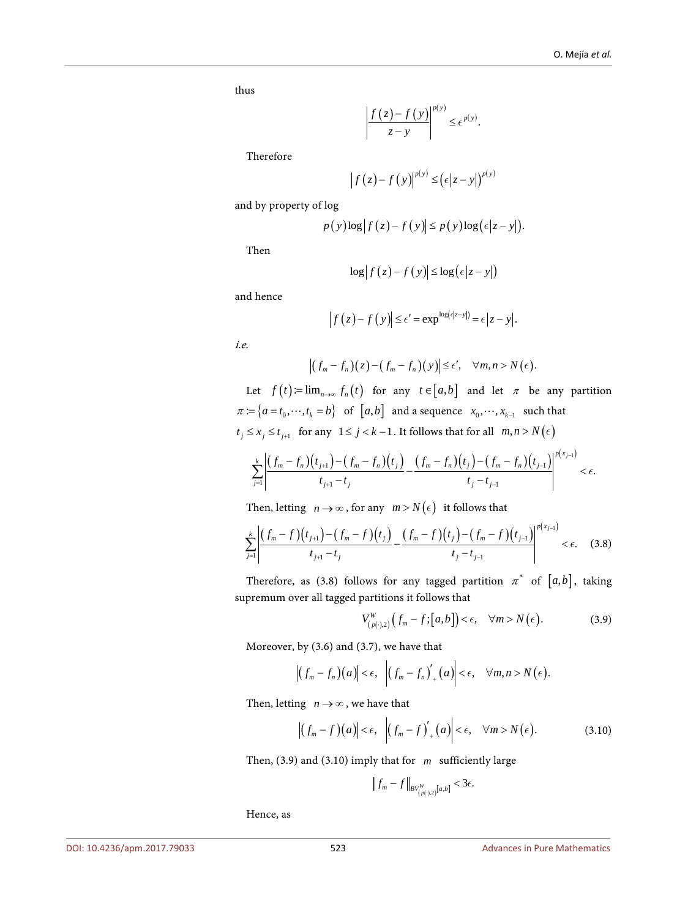thus

$$
\left|\frac{f(z)-f(y)}{z-y}\right|^{p(y)} \leq \epsilon^{p(y)}.
$$

Therefore

$$
\left|f(z)-f(y)\right|^{p(y)} \leq \left(\epsilon |z-y|\right)^{p(y)}
$$

and by property of log

$$
p(y)\log |f(z)-f(y)| \leq p(y)\log (\epsilon |z-y|).
$$

Then

$$
\log |f(z) - f(y)| \le \log ( \epsilon |z - y| )
$$

and hence

$$
\left|f(z)-f(y)\right|\leq \epsilon'=\exp^{\log(\epsilon|z-y|)}=\epsilon|z-y|.
$$

i.e.

$$
\left| \left(f_m - f_n\right)\right| (z) - \left(f_m - f_n\right)\left(y\right) \right| \le \epsilon', \quad \forall m, n > N\left(\epsilon\right).
$$

Let  $f(t) := \lim_{n \to \infty} f_n(t)$  for any  $t \in [a, b]$  and let  $\pi$  be any partition  $\pi := \{a = t_0, \dots, t_k = b\}$  of  $[a, b]$  and a sequence  $x_0, \dots, x_{k-1}$  such that  $t_j \le x_j \le t_{j+1}$  for any  $1 \le j < k-1$ . It follows that for all  $m, n > N(\epsilon)$ 

$$
\sum_{j=1}^k \left| \frac{\left(f_m - f_n\right)\left(t_{j+1}\right) - \left(f_m - f_n\right)\left(t_j\right)}{t_{j+1} - t_j} - \frac{\left(f_m - f_n\right)\left(t_j\right) - \left(f_m - f_n\right)\left(t_{j-1}\right)}{t_j - t_{j-1}} \right|^{p\left(x_{j-1}\right)} < \epsilon.
$$

Then, letting  $n \to \infty$ , for any  $m > N(\epsilon)$  it follows that

$$
\sum_{j=1}^{k} \left| \frac{\left(f_m - f\right)\left(t_{j+1}\right) - \left(f_m - f\right)\left(t_j\right)}{t_{j+1} - t_j} - \frac{\left(f_m - f\right)\left(t_j\right) - \left(f_m - f\right)\left(t_{j-1}\right)}{t_j - t_{j-1}} \right|^{p(x_{j-1})} < \epsilon. \tag{3.8}
$$

Therefore, as (3.8) follows for any tagged partition  $\pi^*$  of  $[a,b]$ , taking supremum over all tagged partitions it follows that

$$
V_{(p(\cdot),2)}^W\big(f_m - f; [a,b]\big) < \epsilon, \quad \forall m > N(\epsilon).
$$
 (3.9)

Moreover, by (3.6) and (3.7), we have that

$$
\left|\left(f_m-f_n\right)(a)\right|<\epsilon,\ \ \left|\left(f_m-f_n\right)_{+}'(a)\right|<\epsilon,\quad \forall m,n>N(\epsilon).
$$

Then, letting  $n \rightarrow \infty$ , we have that

$$
\left| \left( f_m - f \right) \left( a \right) \right| < \epsilon, \quad \left| \left( f_m - f \right)'_{+} \left( a \right) \right| < \epsilon, \quad \forall m > N \left( \epsilon \right). \tag{3.10}
$$

Then, (3.9) and (3.10) imply that for *m* sufficiently large

$$
\left\|f_m - f\right\|_{BV_{(p(\cdot),2)}^W[a,b]} < 3\epsilon.
$$

Hence, as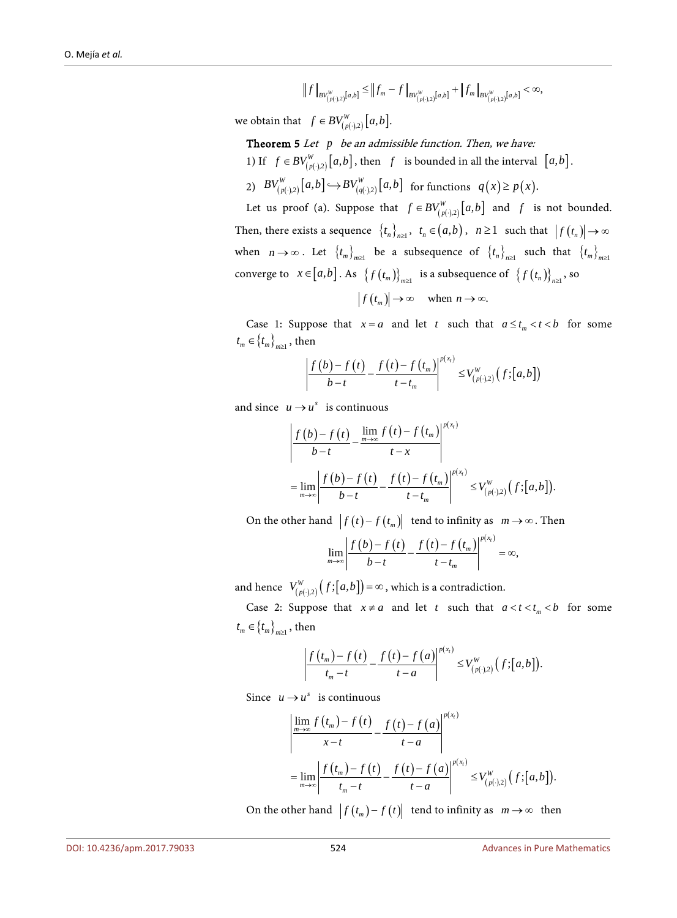$$
\big\|f\big\|_{BV_{\left(p(\cdot),2\right)}^W[a,b]}\leq \big\|f_m-f\big\|_{BV_{\left(p(\cdot),2\right)}^W[a,b]}+\big\|f_m\big\|_{BV_{\left(p(\cdot),2\right)}^W[a,b]}\,<\infty,
$$

we obtain that  $f \in BV_{(p(\cdot), 2)}^W[a, b]$ .

Theorem 5 Let *p* be an admissible function. Then, we have:

1) If  $f \in BV_{(p(\cdot),2)}^W[a,b]$ , then *f* is bounded in all the interval  $[a,b]$ .

2) 
$$
BV^W_{(p(\cdot),2)}[a,b] \hookrightarrow BV^W_{(q(\cdot),2)}[a,b]
$$
 for functions  $q(x) \ge p(x)$ .

Let us proof (a). Suppose that  $f \in BV_{(p(\cdot),2)}^W[a,b]$  and  $f$  is not bounded. Then, there exists a sequence  $\{t_n\}_{n\geq 1}$ ,  $t_n \in (a,b)$ ,  $n \geq 1$  such that  $|f(t_n)| \to \infty$ when  $n \to \infty$ . Let  $\{t_m\}_{m \geq 1}$  be a subsequence of  $\{t_n\}_{n \geq 1}$  such that  $\{t_m\}_{m \geq 1}$ converge to  $x \in [a, b]$ . As  $\{f(t_m)\}_{m \geq 1}$  is a subsequence of  $\{f(t_n)\}_{n \geq 1}$ , so  $|f(t_m)| \to \infty$  when  $n \to \infty$ .

Case 1: Suppose that  $x = a$  and let *t* such that  $a \le t_m < t < b$  for some  $t_m \in \{ t_m \}_{m \geq 1}$ , then

$$
\left|\frac{f(b)-f(t)}{b-t}-\frac{f(t)-f(t_m)}{t-t_m}\right|^{p(x_t)}\leq V_{(p(\cdot),2)}^W(f;[a,b])
$$

and since  $u \rightarrow u^s$  is continuous

$$
\left|\frac{f(b)-f(t)}{b-t} - \frac{\lim_{m\to\infty} f(t)-f(t_m)}{t-x}\right|^{p(x_t)}\n= \lim_{m\to\infty} \left|\frac{f(b)-f(t)}{b-t} - \frac{f(t)-f(t_m)}{t-t_m}\right|^{p(x_t)} \leq V_{(p(\cdot),2)}^W(f;[a,b]).
$$

On the other hand  $|f(t)-f(t_m)|$  tend to infinity as  $m \to \infty$ . Then

$$
\lim_{m\to\infty}\left|\frac{f(b)-f(t)}{b-t}-\frac{f(t)-f(t_m)}{t-t_m}\right|^{p(x_t)}=\infty,
$$

and hence  $V^W_{(p(\cdot),2)}( f; [a,b]) = \infty$ , which is a contradiction.

Case 2: Suppose that  $x \neq a$  and let *t* such that  $a < t < t_m < b$  for some  ${t_m} \in {\{ t_m \}}_{m \geq 1}$ , then

$$
\left|\frac{f\left(t_{m}\right)-f\left(t\right)}{t_{m}-t}-\frac{f\left(t\right)-f\left(a\right)}{t-a}\right|^{p\left(x_{t}\right)} \leq V_{\left(p\left(\cdot\right),2\right)}^{W}\left(f;\left[a,b\right]\right).
$$

Since  $u \rightarrow u^s$  is continuous

$$
\left|\frac{\lim_{m\to\infty}f(t_m)-f(t)}{x-t}-\frac{f(t)-f(a)}{t-a}\right|^{p(x_t)}
$$
\n
$$
=\lim_{m\to\infty}\left|\frac{f(t_m)-f(t)}{t_m-t}-\frac{f(t)-f(a)}{t-a}\right|^{p(x_t)} \leq V_{(p(\cdot),2)}^W(f;[a,b]).
$$

On the other hand  $f(t_m) - f(t)$  tend to infinity as  $m \to \infty$  then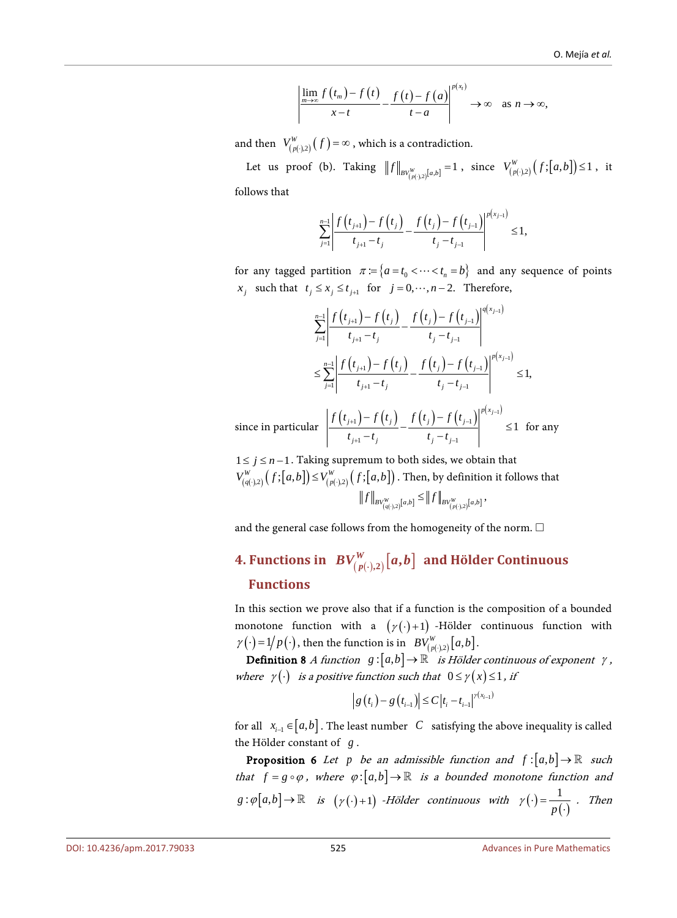$$
\left|\frac{\lim_{m\to\infty}f(t_m)-f(t)}{x-t}-\frac{f(t)-f(a)}{t-a}\right|^{p(x_t)}\to\infty \text{ as } n\to\infty,
$$

and then  $V^W_{(p(\cdot),2)}(f) = \infty$ , which is a contradiction.

Let us proof (b). Taking  $||f||_{BV_{(p(\cdot),2)}^W[a,b]} = 1$ , since  $V_{(p(\cdot),2)}^W(f;[a,b]) \le 1$ , it follows that

$$
\sum_{j=1}^{n-1} \left| \frac{f(t_{j+1}) - f(t_j)}{t_{j+1} - t_j} - \frac{f(t_j) - f(t_{j-1})}{t_j - t_{j-1}} \right|^{p(x_{j-1})} \le 1,
$$

for any tagged partition  $\pi := \{a = t_0 < \cdots < t_n = b\}$  and any sequence of points *x<sub>i</sub>* such that  $t_i \le x_i \le t_{i+1}$  for  $j = 0, \dots, n-2$ . Therefore,

$$
\sum_{j=1}^{n-1} \left| \frac{f(t_{j+1}) - f(t_j)}{t_{j+1} - t_j} - \frac{f(t_j) - f(t_{j-1})}{t_j - t_{j-1}} \right|^{q(x_{j-1})}
$$
\n
$$
\leq \sum_{j=1}^{n-1} \left| \frac{f(t_{j+1}) - f(t_j)}{t_{j+1} - t_j} - \frac{f(t_j) - f(t_{j-1})}{t_j - t_{j-1}} \right|^{p(x_{j-1})} \leq 1,
$$

since in particular  $\left| \frac{f(t_{j+1}) - f(t_j)}{f(t_j)} - \frac{f(t_j) - f(t_{j-1})}{f(t_j)} \right|^{p(x_{j-1})}$  $\iota_j$   $\iota_j$   $\iota_{j-1}$ 1 *p*( $x_j$ *j j jj j j j j*  $f(t_{i+1}) - f(t_i) = f(t_i) - f(t_i)$  $t_{i+1} - t_i$   $t_i - t$ −  $+1$   $\int$   $\binom{i}{j}$   $\int$   $\binom{i}{j}$   $\int$   $\binom{i}{j}$  $\frac{f(t_j) - f(t_j)}{f(t_j - t_{j-1})} - \frac{f(t_j) - f(t_{j-1})}{f_j - t_{j-1}}$   $\leq 1$  for any

1 ≤ *j* ≤ *n* − 1. Taking supremum to both sides, we obtain that  $V_{( q(\cdot), 2 )}^{\rm w}\big(f; \! \big[a, b \big]\!\big) \!\leq\! V_{( p(\cdot), 2 )}^{\rm w}\big(f; \! \big[a, b \big]\!\big)$  . Then, by definition it follows that  $\| f \|_{BV_{(q(\cdot),2)}^W[a,b]} \leq \| f \|_{BV_{(p(\cdot),2)}^W[a,b]},$ 

and the general case follows from the homogeneity of the norm.  $\Box$ 

# **4. Functions in**  $\,\mathcal{BV}^W_{(p(\cdot),2)}[a,b]\,$  and Hölder Continuous **Functions**

In this section we prove also that if a function is the composition of a bounded monotone function with a  $(\gamma(\cdot)+1)$  -Hölder continuous function with  $\gamma(\cdot) = 1/p(\cdot)$ , then the function is in  $BV_{(p(\cdot), 2)}^W[a, b]$ .

**Definition 8** A function  $g: [a,b] \to \mathbb{R}$  is Hölder continuous of exponent  $\gamma$ , where  $\gamma(\cdot)$  is a positive function such that  $0 \le \gamma(x) \le 1$ , if

$$
\left| g(t_i) - g(t_{i-1}) \right| \leq C |t_i - t_{i-1}|^{\gamma(x_{i-1})}
$$

for all  $x_{i-1} \in [a, b]$ . The least number *C* satisfying the above inequality is called the Hölder constant of *g* .

**Proposition 6** Let *p* be an admissible function and  $f:[a,b] \to \mathbb{R}$  such that  $f = g \circ \varphi$ , where  $\varphi : [a,b] \to \mathbb{R}$  is a bounded monotone function and  $g: \varphi[a,b] \to \mathbb{R}$  *is*  $(\gamma(\cdot)+1)$  -Hölder continuous with  $\gamma(\cdot) = \frac{1}{p(\cdot)}$  $\gamma(\cdot) = \frac{1}{p(\cdot)}$  . Then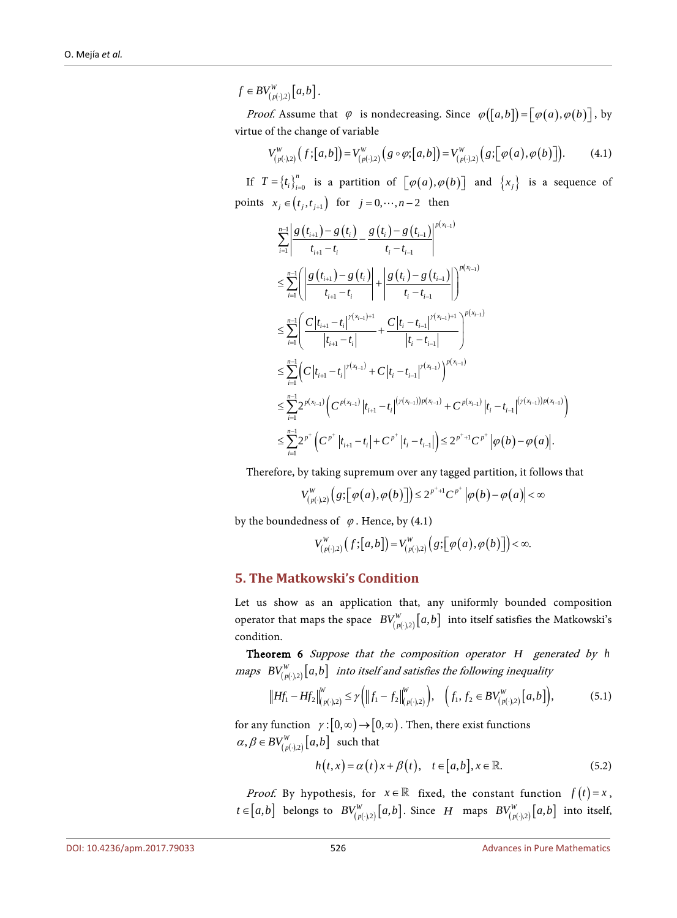$f \in BV_{(p(\cdot),2)}^W[a,b]$  .

*Proof.* Assume that  $\varphi$  is nondecreasing. Since  $\varphi([a,b]) = [\varphi(a), \varphi(b)]$ , by virtue of the change of variable

$$
V^W_{(p(\cdot),2)}(f; [a,b]) = V^W_{(p(\cdot),2)}(g \circ \varphi; [a,b]) = V^W_{(p(\cdot),2)}(g; [\varphi(a), \varphi(b)]). \tag{4.1}
$$

If  $T = \{t_i\}_{i=0}^n$  is a partition of  $\left[\varphi(a), \varphi(b)\right]$  and  $\{x_i\}$  is a sequence of points  $x_i \in (t_i, t_{i+1})$  for  $j = 0, \dots, n-2$  then

$$
\sum_{i=1}^{n-1} \left| \frac{g(t_{i+1}) - g(t_i)}{t_{i+1} - t_i} - \frac{g(t_i) - g(t_{i-1})}{t_i - t_{i-1}} \right|^{p(x_{i-1})}
$$
\n
$$
\leq \sum_{i=1}^{n-1} \left( \left| \frac{g(t_{i+1}) - g(t_i)}{t_{i+1} - t_i} \right| + \left| \frac{g(t_i) - g(t_{i-1})}{t_i - t_{i-1}} \right| \right)^{p(x_{i-1})}
$$
\n
$$
\leq \sum_{i=1}^{n-1} \left( \frac{C|t_{i+1} - t_i|^{p(x_{i-1})+1}}{|t_{i+1} - t_i|} + \frac{C|t_i - t_{i-1}|^{p(x_{i-1})+1}}{|t_i - t_{i-1}|} \right)^{p(x_{i-1})}
$$
\n
$$
\leq \sum_{i=1}^{n-1} \left( C|t_{i+1} - t_i|^{p(x_{i-1})} + C|t_i - t_{i-1}|^{p(x_{i-1})} \right)^{p(x_{i-1})}
$$
\n
$$
\leq \sum_{i=1}^{n-1} 2^{p(x_{i-1})} \left( C^{p(x_{i-1})} |t_{i+1} - t_i|^{(p(x_{i-1}))p(x_{i-1})} + C^{p(x_{i-1})} |t_i - t_{i-1}|^{(p(x_{i-1}))p(x_{i-1})} \right)
$$
\n
$$
\leq \sum_{i=1}^{n-1} 2^{p^+} \left( C^{p^+} |t_{i+1} - t_i| + C^{p^+} |t_i - t_{i-1}| \right) \leq 2^{p^+ + 1} C^{p^+} |p(b) - \varphi(a)|.
$$

Therefore, by taking supremum over any tagged partition, it follows that

$$
V^W_{(p(\cdot),2)}\Big(g;\Big[\varphi(a),\varphi(b)\Big]\Big) \leq 2^{p^++1}C^{p^+}\big|\varphi(b)-\varphi(a)\big| < \infty
$$

by the boundedness of  $\varphi$ . Hence, by (4.1)

$$
V^{\rm W}_{(p(\cdot), 2)}\Big(f; \big[a, b\big]\Big) \!=\! V^{\rm W}_{(p(\cdot), 2)}\Big(\,g; \big[\,\varphi\big(a\big), \varphi\big(b\big)\big]\Big) \!<\infty.
$$

### **5. The Matkowski's Condition**

Let us show as an application that, any uniformly bounded composition operator that maps the space  $BV_{( p(\cdot), 2 )}^W \left[ a, b \right]$  into itself satisfies the Matkowski's condition.

Theorem 6 Suppose that the composition operator *H* generated by *h* maps  $\ BV_{( p(\cdot) , 2 )}^W \big[ a , b \big] \ \hbox{ into itself and satisfies the following inequality}$ 

$$
\left\|Hf_1 - Hf_2\right\|_{(p(\cdot),2)}^W \le \gamma\left(\left\|f_1 - f_2\right\|_{(p(\cdot),2)}^W\right), \quad \left(f_1, f_2 \in BV_{(p(\cdot),2)}^W\left[a, b\right]\right),\tag{5.1}
$$

for any function  $\gamma : [0, \infty) \to [0, \infty)$ . Then, there exist functions  $(a, \beta \in BV_{(p(\cdot), 2)}^W[a, b]$  such that

$$
h(t,x) = \alpha(t)x + \beta(t), \quad t \in [a,b], x \in \mathbb{R}.
$$
 (5.2)

*Proof.* By hypothesis, for  $x \in \mathbb{R}$  fixed, the constant function  $f(t) = x$ ,  $t \in [a, b]$  belongs to  $BV_{(p(\cdot), 2)}^W[a, b]$ . Since *H* maps  $BV_{(p(\cdot), 2)}^W[a, b]$  into itself,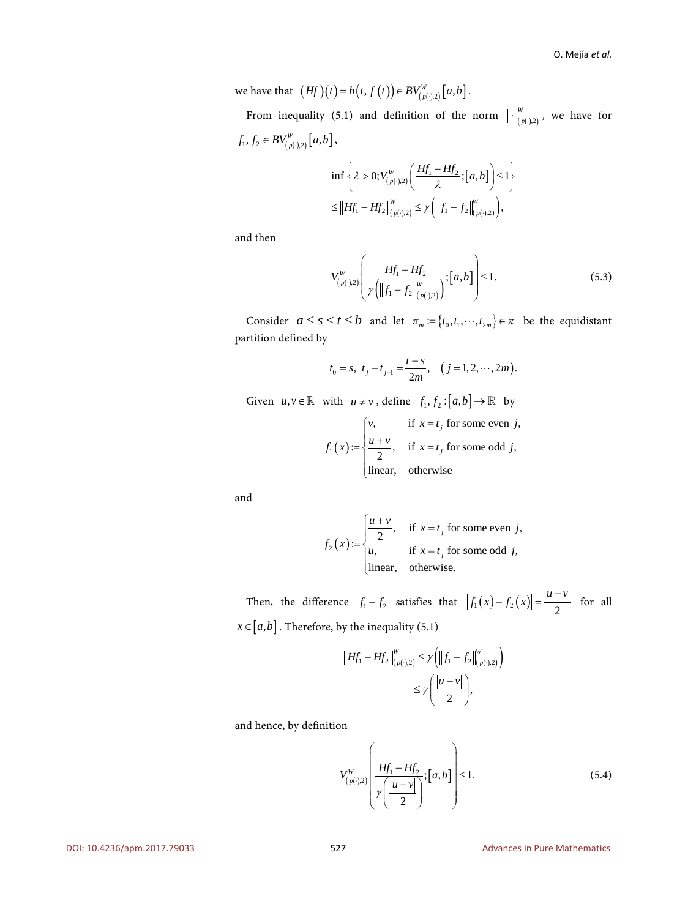we have that  $(Hf)(t) = h(t, f(t)) \in BV_{(p(\cdot), 2)}^W[a, b].$ 

From inequality (5.1) and definition of the norm  $\left\| \cdot \right\|_{(p(\cdot),2)}^W$ , we have for  $f_1, f_2 \in BV_{(p(\cdot), 2)}^W \big[ a, b \big]$ 

$$
\begin{aligned} &\inf\left\{\lambda > 0; V^W_{(p(\cdot),2)}\bigg(\frac{Hf_1 - Hf_2}{\lambda};[a,b]\bigg) \le 1\right\} \\ &\le \left\|Hf_1 - Hf_2\right\|_{(p(\cdot),2)}^W \le \gamma \left(\left\|f_1 - f_2\right\|_{(p(\cdot),2)}^W\right), \end{aligned}
$$

and then

$$
V_{(p(\cdot),2)}^{W}\left(\frac{Hf_1 - Hf_2}{\gamma\left(\left\|f_1 - f_2\right\|_{(p(\cdot),2)}^W\right)}; [a,b]\right) \le 1.
$$
\n(5.3)

Consider  $a \le s < t \le b$  and let  $\pi_m := \{t_0, t_1, \dots, t_{2m}\} \in \pi$  be the equidistant partition defined by

$$
t_0 = s
$$
,  $t_j - t_{j-1} = \frac{t-s}{2m}$ ,  $(j = 1, 2, \dots, 2m)$ .

Given  $u, v \in \mathbb{R}$  with  $u \neq v$ , define  $f_1, f_2 : [a, b] \to \mathbb{R}$  by  $\int_1^c (x)$ , if  $x = t_i$  for some even j,  $:=\left\{\frac{x+y}{2}, \text{ if } x=t_j \text{ for some odd } j, \right.$ linear, otherwise *j j v*, if  $x = t$  for some even j  $f_1(x) = \begin{cases} u + v \\ 0, v \end{cases}$  if  $x = t_i$  for some odd j  $\begin{cases} v, & \text{if } x = \end{cases}$  $=\frac{u+v}{2}$ , if  $x=$  $\downarrow$ 

and

$$
f_2(x) = \begin{cases} \frac{u+v}{2}, & \text{if } x = t_j \text{ for some even } j, \\ u, & \text{if } x = t_j \text{ for some odd } j, \\ \text{linear, otherwise.} \end{cases}
$$

Then, the difference  $f_1 - f_2$  satisfies that  $|f_1(x) - f_2(x)| = \frac{|u - v|}{2}$  for all  $x \in [a, b]$ . Therefore, by the inequality (5.1)

$$
||Hf_1 - Hf_2||_{(p(\cdot),2)}^W \le \gamma \left( ||f_1 - f_2||_{(p(\cdot),2)}^W \right) \\
\le \gamma \left( \frac{|u - v|}{2} \right),
$$

and hence, by definition

$$
V_{(p(\cdot),2)}^{W}\left(\frac{Hf_1 - Hf_2}{\gamma\left(\frac{|u - v|}{2}\right)}; [a, b]\right) \le 1.
$$
 (5.4)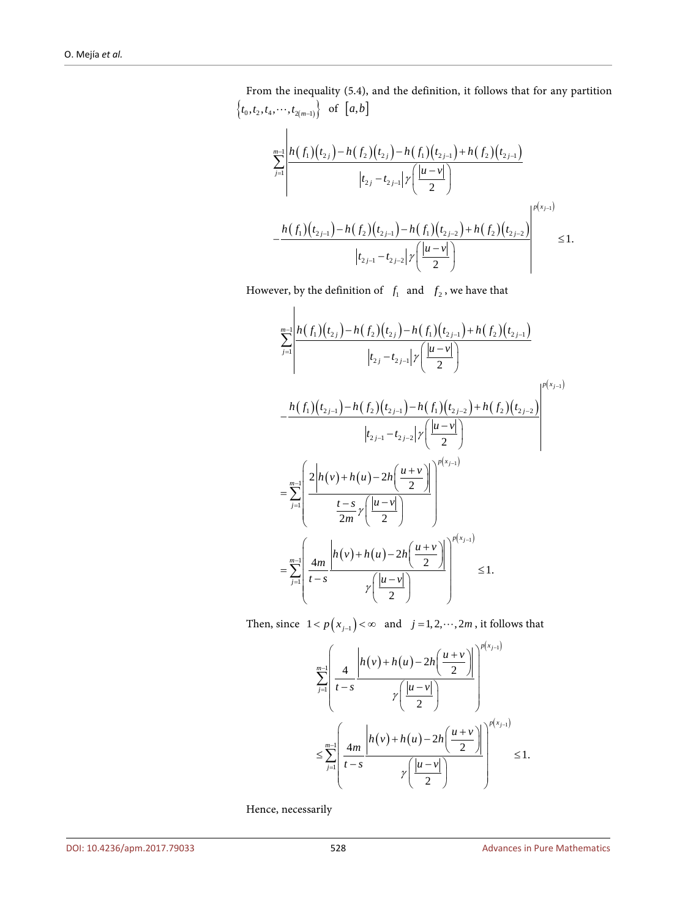From the inequality (5.4), and the definition, it follows that for any partition  ${t_0, t_2, t_4, \cdots, t_{2(m-1)}$  of [*a,b*]

$$
\sum_{j=1}^{m-1} \frac{h(f_1)(t_{2j}) - h(f_2)(t_{2j}) - h(f_1)(t_{2j-1}) + h(f_2)(t_{2j-1})}{|t_{2j} - t_{2j-1}| \gamma(\frac{|u - v|}{2})}\n- \frac{h(f_1)(t_{2j-1}) - h(f_2)(t_{2j-1}) - h(f_1)(t_{2j-2}) + h(f_2)(t_{2j-2})}{|t_{2j-1} - t_{2j-2}| \gamma(\frac{|u - v|}{2})}\n\leq 1.
$$

However, by the definition of  $f_1$  and  $f_2$ , we have that

$$
\sum_{j=1}^{m-1} \frac{h(f_1)(t_{2j})-h(f_2)(t_{2j})-h(f_1)(t_{2j-1})+h(f_2)(t_{2j-1})}{|t_{2j}-t_{2j-1}| \gamma(\frac{|u-v|}{2})}
$$
\n
$$
-\frac{h(f_1)(t_{2j-1})-h(f_2)(t_{2j-1})-h(f_1)(t_{2j-2})+h(f_2)(t_{2j-2})}{|t_{2j-1}-t_{2j-2}| \gamma(\frac{|u-v|}{2})}
$$
\n
$$
=\sum_{j=1}^{m-1} \frac{2|h(v)+h(u)-2h(\frac{u+v}{2})|}{\frac{t-s}{2m} \gamma(\frac{|u-v|}{2})}\Big|^{p(x_{j-1})}
$$
\n
$$
=\sum_{j=1}^{m-1} \frac{4m}{\frac{h(v)+h(u)-2h(\frac{u+v}{2})}{\gamma(\frac{|u-v|}{2})}}^{p(x_{j-1})} \le 1.
$$

Then, since  $1 < p(x_{j-1}) < \infty$  and  $j = 1, 2, \dots, 2m$ , it follows that

$$
\sum_{j=1}^{m-1} \left( \frac{4}{t-s} \frac{\left| h(v) + h(u) - 2h\left(\frac{u+v}{2}\right) \right|}{r\left(\frac{|u-v|}{2}\right)} \right)^{p(x_{j-1})}
$$
\n
$$
\leq \sum_{j=1}^{m-1} \left( \frac{4m}{t-s} \frac{\left| h(v) + h(u) - 2h\left(\frac{u+v}{2}\right) \right|}{r\left(\frac{|u-v|}{2}\right)} \right)^{p(x_{j-1})} \leq 1.
$$

Hence, necessarily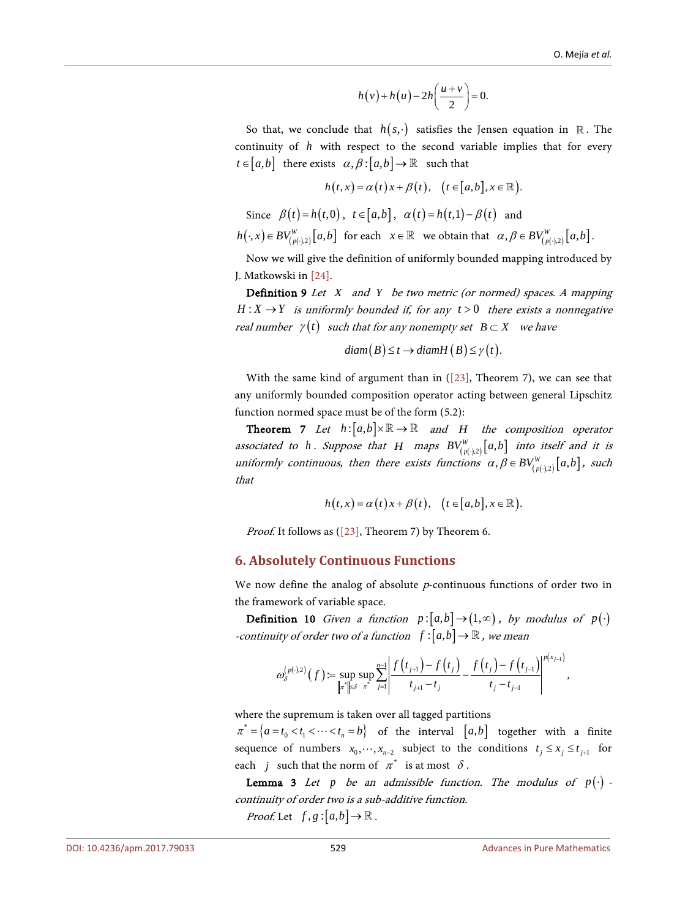$$
h(v)+h(u)-2h\left(\frac{u+v}{2}\right)=0.
$$

So that, we conclude that  $h(s, \cdot)$  satisfies the Jensen equation in  $\mathbb{R}$ . The continuity of *h* with respect to the second variable implies that for every  $t \in [a, b]$  there exists  $\alpha, \beta : [a, b] \to \mathbb{R}$  such that

$$
h(t,x) = \alpha(t)x + \beta(t), \quad (t \in [a,b], x \in \mathbb{R}).
$$

Since 
$$
\beta(t) = h(t, 0)
$$
,  $t \in [a, b]$ ,  $\alpha(t) = h(t, 1) - \beta(t)$  and  
 $h(x) \in BV^W$  [a, b] for each  $x \in \mathbb{R}$  we obtain that  $\alpha, \beta \in BV^W$ 

$$
h(\cdot, x) \in BV_{(p(\cdot), 2)}^W[a, b]
$$
 for each  $x \in \mathbb{R}$  we obtain that  $\alpha, \beta \in BV_{(p(\cdot), 2)}^W[a, b]$ .  
Now we will give the definition of uniformly bounded mapping instead used!

Now we will give the definition of uniformly bounded mapping introduced by J. Matkowski in [\[24\].](#page-25-2)

Definition 9 Let *X* and *Y* be two metric (or normed) spaces. A mapping  $H: X \rightarrow Y$  is uniformly bounded if, for any  $t > 0$  there exists a nonnegative real number  $\gamma(t)$  such that for any nonempty set  $B \subset X$  we have

$$
diam(B) \leq t \rightarrow diamH(B) \leq \gamma(t).
$$

With the same kind of argument than in [\(\[23\],](#page-25-1) Theorem 7), we can see that any uniformly bounded composition operator acting between general Lipschitz function normed space must be of the form (5.2):

**Theorem 7** Let  $h:[a,b]\times\mathbb{R}\to\mathbb{R}$  and *H* the composition operator associated to *h*. Suppose that *H* maps  $BV_{(p(\cdot),2)}^W[a,b]$  into itself and it is uniformly continuous, then there exists functions  $\alpha, \beta \in BV_{(p(\cdot), 2)}^W [ a, b ]$ , such that

$$
h(t,x) = \alpha(t)x + \beta(t), \quad (t \in [a,b], x \in \mathbb{R}).
$$

*Proof.* It follows as [\(\[23\],](#page-25-1) Theorem 7) by Theorem 6.

#### **6. Absolutely Continuous Functions**

We now define the analog of absolute  $p$ -continuous functions of order two in the framework of variable space.

**Definition 10** Given a function  $p:[a,b] \rightarrow (1,\infty)$ , by modulus of  $p(\cdot)$ -continuity of order two of a function  $f:[a,b] \to \mathbb{R}$ , we mean

$$
\omega_{\delta}^{(p(\cdot),2)}(f) \coloneqq \sup_{\left\|x^*\right\| \leq \delta} \sup_{\pi^*} \sum_{j=1}^{n-1} \left| \frac{f(t_{j+1}) - f(t_j)}{t_{j+1} - t_j} - \frac{f(t_j) - f(t_{j-1})}{t_j - t_{j-1}} \right|^{p(x_{j-1})},
$$

where the supremum is taken over all tagged partitions

 $\pi^* = \{a = t_0 < t_1 < \cdots < t_n = b\}$  of the interval  $[a, b]$  together with a finite sequence of numbers  $x_0, \dots, x_{n-2}$  subject to the conditions  $t_i \leq x_i \leq t_{i+1}$  for each *j* such that the norm of  $\pi^*$  is at most  $\delta$ .

**Lemma 3** Let *p* be an admissible function. The modulus of  $p(\cdot)$  continuity of order two is a sub-additive function. *Proof.* Let  $f, g : [a, b] \to \mathbb{R}$ .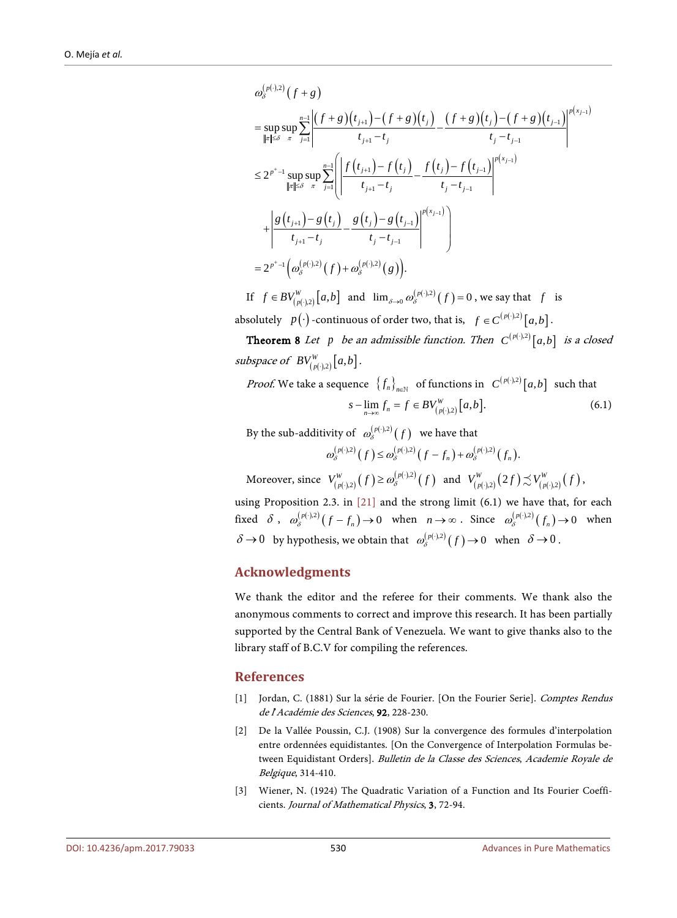$$
\begin{split}\n&\omega_{\delta}^{(p(\cdot),2)}(f+g) \\
&=\sup_{\|\pi\| \leq \delta} \sup_{\pi} \sum_{j=1}^{n-1} \left| \frac{(f+g)(t_{j+1}) - (f+g)(t_j) - (f+g)(t_j) - (f+g)(t_{j-1})}{t_{j+1}-t_j} \right|^{p(x_{j-1})} \\
&\leq 2^{p^+-1} \sup_{\|\pi\| \leq \delta} \sup_{\pi} \sum_{j=1}^{n-1} \left| \frac{f(t_{j+1}) - f(t_j) - f(t_j) - f(t_{j-1})}{t_{j+1}-t_j} \right|^{p(x_{j-1})} \\
&\quad + \left| \frac{g(t_{j+1}) - g(t_j) - g(t_j) - g(t_{j-1})}{t_{j+1}-t_j} \right|^{p(x_{j-1})}\n\end{split}
$$
\n
$$
= 2^{p^+-1} \left( \omega_{\delta}^{(p(\cdot),2)}(f) + \omega_{\delta}^{(p(\cdot),2)}(g) \right).
$$

If  $f \in BV_{(p(\cdot),2)}^W[a,b]$  and  $\lim_{\delta \to 0} \omega_{\delta}^{(p(\cdot),2)}(f) = 0$ , we say that f is absolutely  $p(\cdot)$  -continuous of order two, that is,  $f \in C^{(p(\cdot), 2)}[a, b]$ .

**Theorem 8** Let p be an admissible function. Then  $C^{(p(\cdot),2)}[a,b]$  is a closed subspace of  $BV_{( p(\cdot ) , 2 )}^W \big[ a , b \big]$  .

*Proof.* We take a sequence  $\{f_n\}_{n\in\mathbb{N}}$  of functions in  $C^{(p(\cdot),2)}[a,b]$  such that

$$
s - \lim_{n \to \infty} f_n = f \in BV_{(p(\cdot),2)}^W \big[ a, b \big]. \tag{6.1}
$$

By the sub-additivity of  $\omega_{\delta}^{( p(\cdot),2) } (f)$  we have that

$$
\omega_{\delta}^{(p(\cdot),2)}(f) \leq \omega_{\delta}^{(p(\cdot),2)}(f-f_n) + \omega_{\delta}^{(p(\cdot),2)}(f_n).
$$

Moreover, since  $V^W_{(p(\cdot),2)}(f) \ge \omega_s^{(p(\cdot),2)}(f)$  and  $V^W_{(p(\cdot),2)}(2f) \precsim V^W_{(p(\cdot),2)}(f)$ ,

using Proposition 2.3. in [\[21\]](#page-24-17) and the strong limit (6.1) we have that, for each fixed  $\delta$ ,  $\omega_{\delta}^{(p(\cdot),2)}(f - f_n) \to 0$  when  $n \to \infty$ . Since  $\omega_{\delta}^{(p(\cdot),2)}(f_n) \to 0$  when  $\delta \to 0$  by hypothesis, we obtain that  $\omega_s^{(p(\cdot),2)}(f) \to 0$  when  $\delta \to 0$ .

### **Acknowledgments**

We thank the editor and the referee for their comments. We thank also the anonymous comments to correct and improve this research. It has been partially supported by the Central Bank of Venezuela. We want to give thanks also to the library staff of B.C.V for compiling the references.

### **References**

- <span id="page-23-0"></span>[1] Jordan, C. (1881) Sur la série de Fourier. [On the Fourier Serie]. Comptes Rendus de l'Académie des Sciences, 92, 228-230.
- <span id="page-23-1"></span>[2] De la Vallée Poussin, C.J. (1908) Sur la convergence des formules d'interpolation entre ordennées equidistantes. [On the Convergence of Interpolation Formulas between Equidistant Orders]. Bulletin de la Classe des Sciences, Academie Royale de Belgique, 314-410.
- <span id="page-23-2"></span>[3] Wiener, N. (1924) The Quadratic Variation of a Function and Its Fourier Coefficients. Journal of Mathematical Physics, 3, 72-94.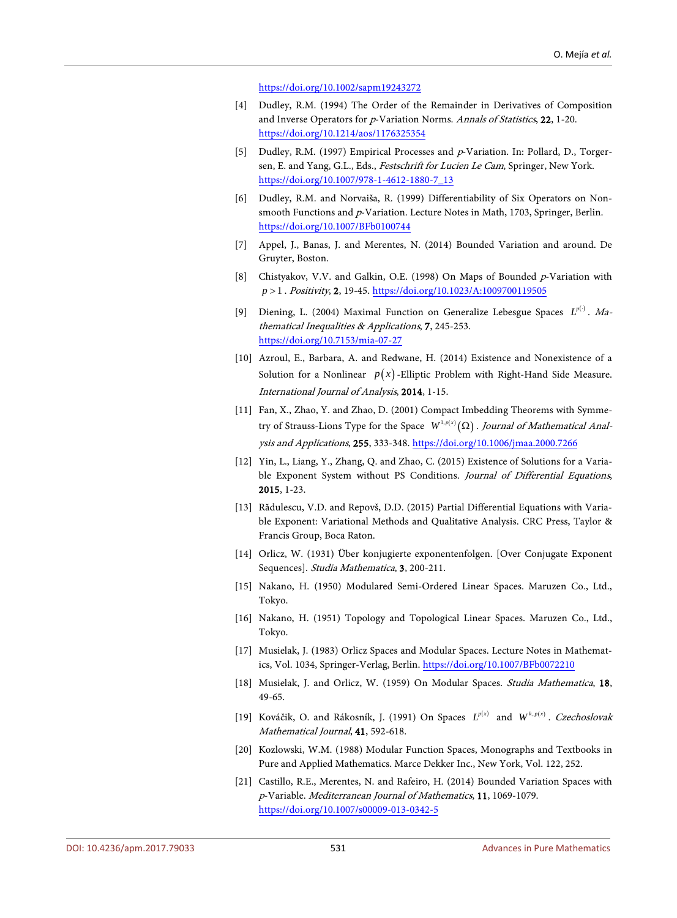<https://doi.org/10.1002/sapm19243272>

- <span id="page-24-0"></span>[4] Dudley, R.M. (1994) The Order of the Remainder in Derivatives of Composition and Inverse Operators for p-Variation Norms. Annals of Statistics, 22, 1-20. <https://doi.org/10.1214/aos/1176325354>
- <span id="page-24-1"></span>[5] Dudley, R.M. (1997) Empirical Processes and p-Variation. In: Pollard, D., Torgersen, E. and Yang, G.L., Eds., Festschrift for Lucien Le Cam, Springer, New York. [https://doi.org/10.1007/978-1-4612-1880-7\\_13](https://doi.org/10.1007/978-1-4612-1880-7_13)
- <span id="page-24-2"></span>[6] Dudley, R.M. and Norvaiša, R. (1999) Differentiability of Six Operators on Nonsmooth Functions and p-Variation. Lecture Notes in Math, 1703, Springer, Berlin. <https://doi.org/10.1007/BFb0100744>
- <span id="page-24-3"></span>[7] Appel, J., Banas, J. and Merentes, N. (2014) Bounded Variation and around. De Gruyter, Boston.
- <span id="page-24-4"></span>[8] Chistyakov, V.V. and Galkin, O.E. (1998) On Maps of Bounded p-Variation with *p* >1 . Positivity, 2, 19-45. <https://doi.org/10.1023/A:1009700119505>
- <span id="page-24-5"></span>[9] Diening, L. (2004) Maximal Function on Generalize Lebesgue Spaces  $L^{p(\cdot)}$ . Mathematical Inequalities & Applications, 7, 245-253. <https://doi.org/10.7153/mia-07-27>
- <span id="page-24-6"></span>[10] Azroul, E., Barbara, A. and Redwane, H. (2014) Existence and Nonexistence of a Solution for a Nonlinear  $p(x)$ -Elliptic Problem with Right-Hand Side Measure. International Journal of Analysis, 2014, 1-15.
- <span id="page-24-7"></span>[11] Fan, X., Zhao, Y. and Zhao, D. (2001) Compact Imbedding Theorems with Symmetry of Strauss-Lions Type for the Space  $W^{1,p(x)}( \Omega )$  . *Journal of Mathematical Anal*ysis and Applications, 255, 333-348. <https://doi.org/10.1006/jmaa.2000.7266>
- <span id="page-24-8"></span>[12] Yin, L., Liang, Y., Zhang, Q. and Zhao, C. (2015) Existence of Solutions for a Variable Exponent System without PS Conditions. Journal of Differential Equations, 2015, 1-23.
- <span id="page-24-9"></span>[13] Rădulescu, V.D. and Repovš, D.D. (2015) Partial Differential Equations with Variable Exponent: Variational Methods and Qualitative Analysis. CRC Press, Taylor & Francis Group, Boca Raton.
- <span id="page-24-10"></span>[14] Orlicz, W. (1931) Über konjugierte exponentenfolgen. [Over Conjugate Exponent Sequences]. Studia Mathematica, 3, 200-211.
- <span id="page-24-11"></span>[15] Nakano, H. (1950) Modulared Semi-Ordered Linear Spaces. Maruzen Co., Ltd., Tokyo.
- <span id="page-24-12"></span>[16] Nakano, H. (1951) Topology and Topological Linear Spaces. Maruzen Co., Ltd., Tokyo.
- <span id="page-24-13"></span>[17] Musielak, J. (1983) Orlicz Spaces and Modular Spaces. Lecture Notes in Mathematics, Vol. 1034, Springer-Verlag, Berlin. <https://doi.org/10.1007/BFb0072210>
- <span id="page-24-14"></span>[18] Musielak, J. and Orlicz, W. (1959) On Modular Spaces. Studia Mathematica, 18, 49-65.
- <span id="page-24-15"></span>[19] Kováčik, O. and Rákosník, J. (1991) On Spaces  $L^{p(x)}$  and  $W^{k,p(x)}$ . Czechoslovak Mathematical Journal, 41, 592-618.
- <span id="page-24-16"></span>[20] Kozlowski, W.M. (1988) Modular Function Spaces, Monographs and Textbooks in Pure and Applied Mathematics. Marce Dekker Inc., New York, Vol. 122, 252.
- <span id="page-24-17"></span>[21] Castillo, R.E., Merentes, N. and Rafeiro, H. (2014) Bounded Variation Spaces with <sup>p</sup>-Variable. Mediterranean Journal of Mathematics, 11, 1069-1079. <https://doi.org/10.1007/s00009-013-0342-5>